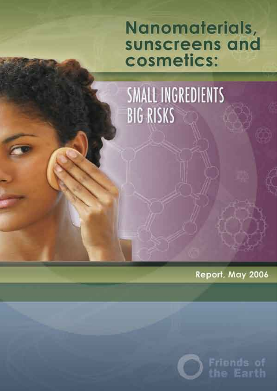## Nanomaterials, sunscreens and cosmetics:

**SMALL INGREDIENTS BIG RISKS** 

Report, May 2006



Friends of he Earth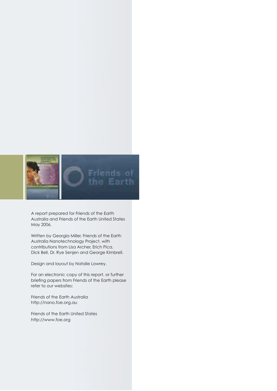

A report prepared for Friends of the Earth Australia and Friends of the Earth United States May 2006.

Written by Georgia Miller, Friends of the Earth Australia Nanotechnology Project, with contributions from Lisa Archer, Erich Pica, Dick Bell, Dr. Rye Senjen and George Kimbrell.

Design and layout by Natalie Lowrey.

For an electronic copy of this report, or further briefing papers from Friends of the Earth please refer to our websites:

Friends of the Earth Australia http://nano.foe.org.au

Friends of the Earth United States http://www.foe.org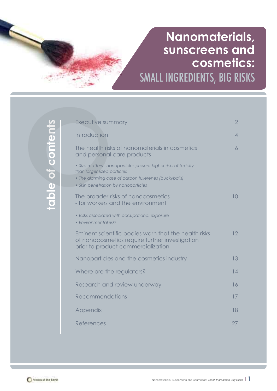### SMALL INGREDIENTS, BIG RISKS **Nanomaterials, sunscreens and cosmetics:**

| Executive summary                                                                                                                                                                              | $\overline{2}$  |
|------------------------------------------------------------------------------------------------------------------------------------------------------------------------------------------------|-----------------|
| Introduction                                                                                                                                                                                   | $\overline{4}$  |
| The health risks of nanomaterials in cosmetics<br>and personal care products                                                                                                                   | 6               |
| • Size matters - nanoparticles present higher risks of toxicity<br>than larger sized particles<br>• The alarming case of carbon fullerenes (buckyballs)<br>• Skin penetration by nanoparticles |                 |
| The broader risks of nanocosmetics<br>- for workers and the environment                                                                                                                        | 10 <sup>°</sup> |
| • Risks associated with occupational exposure<br>• Environmental risks                                                                                                                         |                 |
| Eminent scientific bodies warn that the health risks<br>of nanocosmetics require further investigation<br>prior to product commercialization                                                   | 12              |
| Nanoparticles and the cosmetics industry                                                                                                                                                       | 13              |
| Where are the regulators?                                                                                                                                                                      | 14              |
| Research and review underway                                                                                                                                                                   | 16              |
| Recommendations                                                                                                                                                                                | 17              |
| Appendix                                                                                                                                                                                       | 18              |
| References                                                                                                                                                                                     | 27              |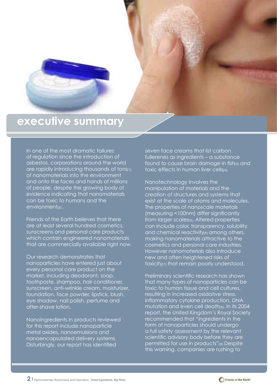

### **executive summary**

In one of the most dramatic failures of regulation since the introduction of asbestos, corporations around the world are rapidly introducing thousands of tons[1] of nanomaterials into the environment and onto the faces and hands of millions of people, despite the growing body of evidence indicating that nanomaterials can be toxic to humans and the environment<sub>[2]</sub>.

Friends of the Earth believes that there are at least several hundred cosmetics, sunscreens and personal care products which contain engineered nanomaterials that are commercially available right now.

Our research demonstrates that nanoparticles have entered just about every personal care product on the market, including deodorant, soap, toothpaste, shampoo, hair conditioner, sunscreen, anti-wrinkle cream, moisturizer, foundation, face powder, lipstick, blush, eye shadow, nail polish, perfume and after-shave lotion.

Nanoingredients in products reviewed for this report include nanoparticle metal oxides, nanoemulsions and nanoencapsulated delivery systems. Disturbingly, our report has identified

seven face creams that list carbon fullerenes as ingredients – a substance found to cause brain damage in fish[3] and toxic effects in human liver cells[4].

Nanotechnology involves the manipulation of materials and the creation of structures and systems that exist at the scale of atoms and molecules. The properties of nanoscale materials (measuring <100nm) differ significantly from larger scales<sub>[5]</sub>. Altered properties can include color, transparency, solubility and chemical reactivity<sub>[6]</sub> among others, making nanomaterials attractive to the cosmetics and personal care industries. However nanomaterials also introduce new and often heightened risks of toxicity<sub>[7]</sub> that remain poorly understood.

Preliminary scientific research has shown that many types of nanoparticles can be toxic to human tissue and cell cultures, resulting in increased oxidative stress, inflammatory cytokine production, DNA mutation and even cell death<sub>[8]</sub>. In its 2004 report, the United Kingdom's Royal Society recommended that "ingredients in the form of nanoparticles should undergo a full safety assessment by the relevant scientific advisory body before they are permitted for use in products"[9]. Despite this warning, companies are rushing to

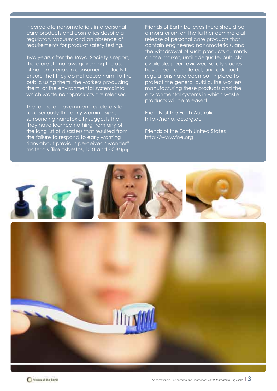incorporate nanomaterials into personal care products and cosmetics despite a regulatory vacuum and an absence of requirements for product safety testing.

Two years after the Royal Society's report, there are still no laws governing the use of nanomaterials in consumer products to ensure that they do not cause harm to the public using them, the workers producing them, or the environmental systems into which waste nanoproducts are released.

The failure of government regulators to take seriously the early warning signs surrounding nanotoxicity suggests that they have learned nothing from any of the long list of disasters that resulted from the failure to respond to early warning signs about previous perceived "wonder" materials (like asbestos, DDT and PCBs)[10] Friends of Earth believes there should be a moratorium on the further commercial release of personal care products that contain engineered nanomaterials, and the withdrawal of such products currently on the market, until adequate, publicly available, peer-reviewed safety studies have been completed, and adequate regulations have been put in place to protect the general public, the workers manufacturing these products and the environmental systems in which waste products will be released.

Friends of the Earth Australia http://nano.foe.org.au

Friends of the Earth United States http://www.foe.org

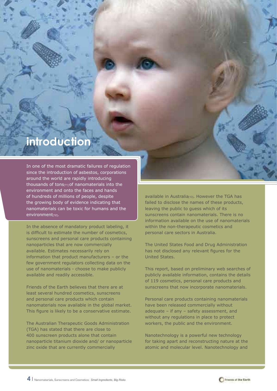### **introduction**

In one of the most dramatic failures of regulation since the introduction of asbestos, corporations around the world are rapidly introducing thousands of tons[11] of nanomaterials into the environment and onto the faces and hands of hundreds of millions of people, despite the growing body of evidence indicating that nanomaterials can be toxic for humans and the environment<sub>[12]</sub>.

In the absence of mandatory product labeling, it is difficult to estimate the number of cosmetics, sunscreens and personal care products containing nanoparticles that are now commercially available. Estimates necessarily rely on information that product manufacturers – or the few government regulators collecting data on the use of nanomaterials - choose to make publicly available and readily accessible.

Friends of the Earth believes that there are at least several hundred cosmetics, sunscreens and personal care products which contain nanomaterials now available in the global market. This figure is likely to be a conservative estimate.

The Australian Therapeutic Goods Administration (TGA) has stated that there are close to 400 sunscreen products alone that contain nanoparticle titanium dioxide and/ or nanoparticle zinc oxide that are currently commercially

available in Australia<br/>[13]. However the TGA has failed to disclose the names of these products, leaving the public to guess which of its sunscreens contain nanomaterials. There is no information available on the use of nanomaterials within the non-therapeutic cosmetics and personal care sectors in Australia.

The United States Food and Drug Administration has not disclosed any relevant figures for the United States.

This report, based on preliminary web searches of publicly available information, contains the details of 119 cosmetics, personal care products and sunscreens that now incorporate nanomaterials.

Personal care products containing nanomaterials have been released commercially without adequate – if any – safety assessment, and without any regulations in place to protect workers, the public and the environment.

Nanotechnology is a powerful new technology for taking apart and reconstructing nature at the atomic and molecular level. Nanotechnology and

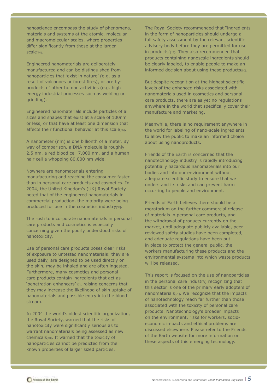nanoscience encompass the study of phenomena, materials and systems at the atomic, molecular and macromolecular scales, where properties differ significantly from those at the larger scale<sub>[14]</sub>.

Engineered nanomaterials are deliberately manufactured and can be distinguished from nanoparticles that 'exist in nature' (e.g. as a result of volcanoes or forest fires), or are byproducts of other human activities (e.g. high energy industrial processes such as welding or grinding).

Engineered nanomaterials include particles of all sizes and shapes that exist at a scale of 100nm or less, or that have at least one dimension that affects their functional behavior at this scale[15].

A nanometer (nm) is one billionth of a meter. By way of comparison, a DNA molecule is roughly 2.5 nm, a red blood cell 7,000 nm, and a human hair cell a whopping 80,000 nm wide.

Nowhere are nanomaterials entering manufacturing and reaching the consumer faster than in personal care products and cosmetics. In 2004, the United Kingdom's (UK) Royal Society noted that of the engineered nanomaterials in commercial production, the majority were being produced for use in the cosmetics industry[16].

The rush to incorporate nanomaterials in personal care products and cosmetics is especially concerning given the poorly understood risks of nanotoxicity.

Use of personal care products poses clear risks of exposure to untested nanomaterials: they are used daily, are designed to be used directly on the skin, may be inhaled and are often ingested. Furthermore, many cosmetics and personal care products contain ingredients that act as 'penetration enhancers'[17], raising concerns that they may increase the likelihood of skin uptake of nanomaterials and possible entry into the blood stream.

In 2004 the world's oldest scientific organization, the Royal Society, warned that the risks of nanotoxicity were significantly serious as to warrant nanomaterials being assessed as new chemicals[18]. It warned that the toxicity of nanoparticles cannot be predicted from the known properties of larger sized particles.

The Royal Society recommended that "ingredients in the form of nanoparticles should undergo a full safety assessment by the relevant scientific advisory body before they are permitted for use in products"[19]. They also recommended that products containing nanoscale ingredients should be clearly labeled, to enable people to make an informed decision about using these products[20].

But despite recognition at the highest scientific levels of the enhanced risks associated with nanomaterials used in cosmetics and personal care products, there are as yet no regulations anywhere in the world that specifically cover their manufacture and marketing.

Meanwhile, there is no requirement anywhere in the world for labeling of nano-scale ingredients to allow the public to make an informed choice about using nanoproducts.

Friends of the Earth is concerned that the nanotechnology industry is rapidly introducing potentially hazardous nanomaterials into our bodies and into our environment without adequate scientific study to ensure that we understand its risks and can prevent harm occurring to people and environment.

Friends of Earth believes there should be a moratorium on the further commercial release of materials in personal care products, and the withdrawal of products currently on the market, until adequate publicly available, peerreviewed safety studies have been completed, and adequate regulations have been put in place to protect the general public, the workers manufacturing these products and the environmental systems into which waste products will be released.

This report is focused on the use of nanoparticles in the personal care industry, recognizing that this sector is one of the primary early adopters of nanomaterials[21]. We recognize that the impacts of nanotechnology reach far further than those associated with the toxicity of personal care products. Nanotechnology's broader impacts on the environment, risks for workers, socioeconomic impacts and ethical problems are discussed elsewhere. Please refer to the Friends of the Earth website for more information on these aspects of this emerging technology.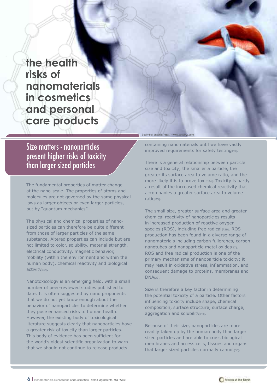**the health risks of nanomaterials in cosmetics and personal care products** 

Size matters - nanoparticles present higher risks of toxicity than larger sized particles

The fundamental properties of matter change at the nano-scale. The properties of atoms and molecules are not governed by the same physical laws as larger objects or even larger particles, but by "quantum mechanics".

The physical and chemical properties of nanosized particles can therefore be quite different from those of larger particles of the same substance. Altered properties can include but are not limited to color, solubility, material strength, electrical conductivity, magnetic behavior, mobility (within the environment and within the human body), chemical reactivity and biological activity[22].

Nanotoxicology is an emerging field, with a small number of peer-reviewed studies published to date. It is often suggested by nano proponents that we do not yet know enough about the behavior of nanoparticles to determine whether they pose enhanced risks to human health. However, the existing body of toxicological literature suggests clearly that nanoparticles have a greater risk of toxicity than larger particles. This body of evidence has been sufficient for the world's oldest scientific organization to warn that we should not continue to release products

Bucky ball graphic: http://www.accelrys.com

containing nanomaterials until we have vastly improved requirements for safety testing[23].

There is a general relationship between particle size and toxicity; the smaller a particle, the greater its surface area to volume ratio, and the more likely it is to prove toxic<sub>[24]</sub>. Toxicity is partly a result of the increased chemical reactivity that accompanies a greater surface area to volume ratio<sub>[25]</sub>.

The small size, greater surface area and greater chemical reactivity of nanoparticles results in increased production of reactive oxygen species (ROS), including free radicals[26]. ROS production has been found in a diverse range of nanomaterials including carbon fullerenes, carbon nanotubes and nanoparticle metal oxides[27]. ROS and free radical production is one of the primary mechanisms of nanoparticle toxicity; it may result in oxidative stress, inflammation, and consequent damage to proteins, membranes and DNA[28].

Size is therefore a key factor in determining the potential toxicity of a particle. Other factors influencing toxicity include shape, chemical composition, surface structure, surface charge, aggregation and solubility[29].

Because of their size, nanoparticles are more readily taken up by the human body than larger sized particles and are able to cross biological membranes and access cells, tissues and organs that larger sized particles normally cannot<sub>[30]</sub>.

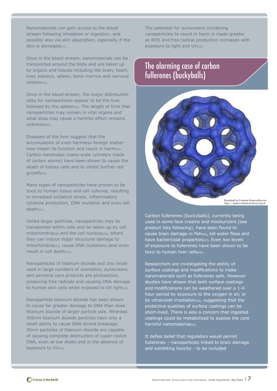Nanomaterials can gain access to the blood stream following inhalation or ingestion, and possibly also via skin absorption, especially if the skin is damaged[31].

Once in the blood stream, nanomaterials can be transported around the body and are taken up by organs and tissues including the brain, heart, liver, kidneys, spleen, bone marrow and nervous system<sub>[32]</sub>.

Once in the blood stream, the major distribution sites for nanoparticles appear to be the liver, followed by the spleen[33]. The length of time that nanoparticles may remain in vital organs and what dose may cause a harmful effect remains unknown<sub>[34]</sub>.

Diseases of the liver suggest that the accumulation of even harmless foreign matter may impair its function and result in harm<sup>[35]</sup>. Carbon nanotubes (nano-scale cylinders made of carbon atoms) have been shown to cause the death of kidney cells and to inhibit further cell growth<sub>[36]</sub>.

Many types of nanoparticles have proven to be toxic to human tissue and cell cultures, resulting in increased oxidative stress, inflammatory cytokine production, DNA mutation and even cell death<sub>[37]</sub>.

Unlike larger particles, nanoparticles may be transported within cells and be taken up by cell mitochondria $389$  and the cell nucleus<sup>[39]</sup>, where they can induce major structural damage to mitochondria<sub>[40]</sub>, cause DNA mutation<sub>[41]</sub>and even result in cell death[42].

Nanoparticles of titanium dioxide and zinc oxide used in large numbers of cosmetics, sunscreens and personal care products are photoactive, producing free radicals and causing DNA damage to human skin cells when exposed to UV light(43).

Nanoparticle titanium dioxide has been shown to cause far greater damage to DNA than does titanium dioxide of larger particle size. Whereas 500nm titanium dioxide particles have only a small ability to cause DNA strand breakage, 20nm particles of titanium dioxide are capable of causing complete destruction of super-coiled DNA, even at low doses and in the absence of exposure to UV[44].

The potential for sunscreens containing nanoparticles to result in harm is made greater as ROS and free radical production increases with exposure to light and UV[45].

### The alarming case of carbon fullerenes (buckyballs)



Buckyball by Creative Science Source http://www.creative-science.org.uk

Carbon fullerenes (buckyballs), currently being used in some face creams and moisturizers (see product lists following), have been found to cause brain damage in fish[46], kill water fleas and have bactericidal properties[47]. Even low levels of exposure to fullerenes have been shown to be toxic to human liver cells[48].

Researchers are investigating the ability of surface coatings and modifications to make nanomaterials such as fullerenes safe. However studies have shown that both surface coatings and modifications can be weathered over a 1-4 hour period by exposure to the oxygen in air, or by ultraviolet irradiation[49], suggesting that the protective qualities of surface coatings can be short-lived. There is also a concern that ingested coatings could be metabolized to expose the core harmful nanomaterial<sub>[50]</sub>.

It defies belief that regulators would permit fullerenes – nanoparticles linked to brain damage and exhibiting toxicity - to be included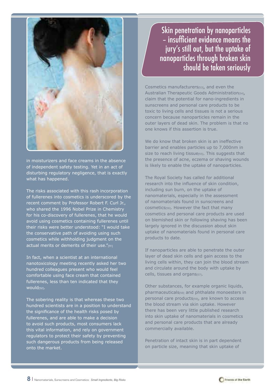

in moisturizers and face creams in the absence of independent safety testing. Yet in an act of disturbing regulatory negligence, that is exactly what has happened.

The risks associated with this rash incorporation of fullerenes into cosmetics is underscored by the recent comment by Professor Robert F. Curl Jr., who shared the 1996 Nobel Prize in Chemistry for his co-discovery of fullerenes, that he would avoid using cosmetics containing fullerenes until their risks were better understood: "I would take the conservative path of avoiding using such cosmetics while withholding judgment on the actual merits or demerits of their use."[51]

In fact, when a scientist at an international nanotoxicology meeting recently asked her two hundred colleagues present who would feel comfortable using face cream that contained fullerenes, less than ten indicated that they would<sub>[52]</sub>.

The sobering reality is that whereas these two hundred scientists are in a position to understand the significance of the health risks posed by fullerenes, and are able to make a decision to avoid such products, most consumers lack this vital information, and rely on government regulators to protect their safety by preventing such dangerous products from being released onto the market.

Skin penetration by nanoparticles – insufficient evidence means the jury's still out, but the uptake of nanoparticles through broken skin should be taken seriously

Cosmetics manufacturers[53], and even the Australian Therapeutic Goods Administration[54], claim that the potential for nano-ingredients in sunscreens and personal care products to be toxic to living cells and tissues is not a serious concern because nanoparticles remain in the outer layers of dead skin. The problem is that no one knows if this assertion is true.

We do know that broken skin is an ineffective barrier and enables particles up to 7,000nm in size to reach living tissue[55]. This suggests that the presence of acne, eczema or shaving wounds is likely to enable the uptake of nanoparticles.

The Royal Society has called for additional research into the influence of skin condition, including sun burn, on the uptake of nanomaterials, especially in the assessment of nanomaterials found in sunscreens and cosmetics[56]. However the fact that many cosmetics and personal care products are used on blemished skin or following shaving has been largely ignored in the discussion about skin uptake of nanomaterials found in personal care products to date.

If nanoparticles are able to penetrate the outer layer of dead skin cells and gain access to the living cells within, they can join the blood stream and circulate around the body with uptake by cells, tissues and organs[57].

Other substances, for example organic liquids, pharmaceuticals[58] and phthalate monoesters in personal care products[59], are known to access the blood stream via skin uptake. However there has been very little published research into skin uptake of nanomaterials in cosmetics and personal care products that are already commercially available.

Penetration of intact skin is in part dependent on particle size, meaning that skin uptake of

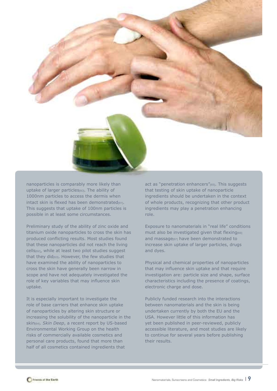

nanoparticles is comparably more likely than uptake of larger particles[60]. The ability of 1000nm particles to access the dermis when intact skin is flexed has been demonstrated This suggests that uptake of 100nm particles is possible in at least some circumstances.

Preliminary study of the ability of zinc oxide and titanium oxide nanoparticles to cross the skin has produced conflicting results. Most studies found that these nanoparticles did not reach the living cells[62], while at least two pilot studies suggest that they did<sub>[63]</sub>. However, the few studies that have examined the ability of nanoparticles to cross the skin have generally been narrow in scope and have not adequately investigated the role of key variables that may influence skin uptake.

It is especially important to investigate the role of base carriers that enhance skin uptake of nanoparticles by altering skin structure or increasing the solubility of the nanoparticle in the skin<sub>[64]</sub>, *Skin Deep*, a recent report by US-based Environmental Working Group on the health risks of commercially available cosmetics and personal care products, found that more than half of all cosmetics contained ingredients that

act as "penetration enhancers"[65]. This suggests that testing of skin uptake of nanoparticle ingredients should be undertaken in the context of whole products, recognizing that other product ingredients may play a penetration enhancing role.

Exposure to nanomaterials in "real life" conditions must also be investigated given that flexing and massage[67] have been demonstrated to increase skin uptake of larger particles, drugs and dyes.

Physical and chemical properties of nanoparticles that may influence skin uptake and that require investigation are: particle size and shape, surface characteristics including the presence of coatings, electronic charge and dose.

Publicly funded research into the interactions between nanomaterials and the skin is being undertaken currently by both the EU and the USA. However little of this information has yet been published in peer-reviewed, publicly accessible literature, and most studies are likely to continue for several years before publishing their results.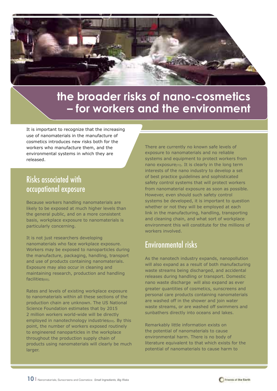

### **the broader risks of nano-cosmetics – for workers and the environment**

It is important to recognize that the increasing use of nanomaterials in the manufacture of cosmetics introduces new risks both for the workers who manufacture them, and the environmental systems in which they are released.

### Risks associated with occupational exposure

Because workers handling nanomaterials are likely to be exposed at much higher levels than the general public, and on a more consistent basis, workplace exposure to nanomaterials is particularly concerning.

It is not just researchers developing nanomaterials who face workplace exposure. Workers may be exposed to nanoparticles during the manufacture, packaging, handling, transport and use of products containing nanomaterials. Exposure may also occur in cleaning and maintaining research, production and handling facilities<sub>[68]</sub>.

Rates and levels of existing workplace exposure to nanomaterials within all these sections of the production chain are unknown. The US National Science Foundation estimates that by 2015 2 million workers world-wide will be directly employed in nanotechnology industries[69]. By this point, the number of workers exposed routinely to engineered nanoparticles in the workplace throughout the production supply chain of products using nanomaterials will clearly be much larger.

There are currently no known safe levels of exposure to nanomaterials and no reliable systems and equipment to protect workers from nano exposure[70]. It is clearly in the long term interests of the nano industry to develop a set of best practice guidelines and sophisticated safety control systems that will protect workers from nanomaterial exposure as soon as possible. However, even should such safety control systems be developed, it is important to question whether or not they will be employed at each link in the manufacturing, handling, transporting and cleaning chain, and what sort of workplace environment this will constitute for the millions of workers involved.

### Environmental risks

As the nanotech industry expands, nanopollution will also expand as a result of both manufacturing waste streams being discharged, and accidental releases during handling or transport. Domestic nano waste discharge will also expand as ever greater quantities of cosmetics, sunscreens and personal care products containing nanomaterials are washed off in the shower and join water waste streams, or are washed off swimmers and sunbathers directly into oceans and lakes.

Remarkably little information exists on the potential of nanomaterials to cause environmental harm. There is no body of literature equivalent to that which exists for the potential of nanomaterials to cause harm to

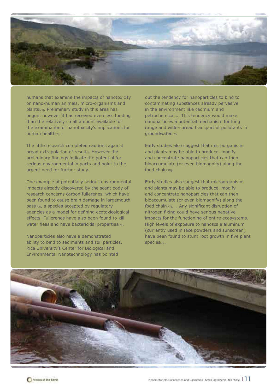

humans that examine the impacts of nanotoxicity on nano-human animals, micro-organisms and plants[71]. Preliminary study in this area has begun, however it has received even less funding than the relatively small amount available for the examination of nanotoxicity's implications for human health<sub>[72]</sub>.

The little research completed cautions against broad extrapolation of results. However the preliminary findings indicate the potential for serious environmental impacts and point to the urgent need for further study.

One example of potentially serious environmental impacts already discovered by the scant body of research concerns carbon fullerenes, which have been found to cause brain damage in largemouth bass<sub>[73]</sub>, a species accepted by regulatory agencies as a model for defining ecotoxicological effects. Fullerenes have also been found to kill water fleas and have bactericidal properties[74].

Nanoparticles also have a demonstrated ability to bind to sediments and soil particles. Rice University's Center for Biological and Environmental Nanotechnology has pointed

out the tendency for nanoparticles to bind to contaminating substances already pervasive in the environment like cadmium and petrochemicals. This tendency would make nanoparticles a potential mechanism for long range and wide-spread transport of pollutants in groundwater.[75]

Early studies also suggest that microorganisms and plants may be able to produce, modify and concentrate nanoparticles that can then bioaccumulate (or even biomagnify) along the food chain<sub>[76]</sub>.

Early studies also suggest that microorganisms and plants may be able to produce, modify and concentrate nanoparticles that can then bioaccumulate (or even biomagnify) along the food chain<sub>[77]</sub>. . Any significant disruption of nitrogen fixing could have serious negative impacts for the functioning of entire ecosystems. High levels of exposure to nanoscale aluminum (currently used in face powders and sunscreen) have been found to stunt root growth in five plant species<sub>[78]</sub>.

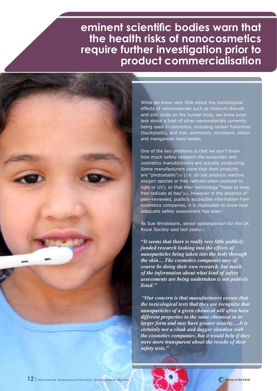### **eminent scientific bodies warn that the health risks of nanocosmetics require further investigation prior to product commercialisation**



While we know very little about the toxicological effects of nanomaterials such as titanium dioxide and zinc oxide on the human body, we know even less about a host of other nanomaterials currently being used in cosmetics, including carbon fullerenes (buckyballs), and iron, aluminum, zirconium, silicon and manganese nano oxides.

One of the key problems is that we don't know how much safety research the sunscreen and cosmetics manufacturers are actually conducting. Some manufacturers claim that their products are "photostable"[79] (i.e. do not produce reactive oxygen species or free radicals when exposed to light or UV), or that their technology "helps to keep free radicals at bay"[80]. However in the absence of peer-reviewed, publicly accessible information from cosmetics companies, it is impossible to know how adequate safety assessment has been.

As Sue Windebank, senior spokesperson for the UK Royal Society said last year[81]:

*"It seems that there is really very little publicly funded research looking into the effects of nanoparticles being taken into the body through the skin… The cosmetics companies may of course be doing their own research, but much of the information about what kind of safety assessments are being undertaken is not publicly listed."*

 *"Our concern is that manufacturers ensure that the toxicological tests that they use recognize that nanoparticles of a given chemical will often have different properties to the same chemical in its larger form and may have greater toxicity….It is certainly not a cloak and dagger situation with the cosmetics companies, but it would help if they were more transparent about the results of their safety tests."* 

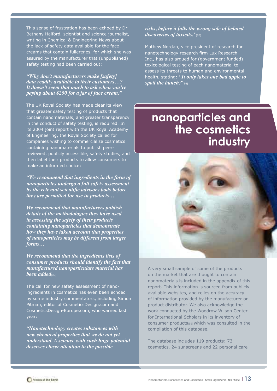This sense of frustration has been echoed by Dr Bethany Halford, scientist and science journalist, writing in Chemical & Engineering News about the lack of safety data available for the face creams that contain fullerenes, for which she was assured by the manufacturer that (unpublished) safety testing had been carried out:

*"Why don't manufacturers make [safety] data readily available to their customers…? It doesn't seem that much to ask when you're paying about \$250 for a jar of face cream."*

The UK Royal Society has made clear its view that greater safety testing of products that contain nanomaterials, and greater transparency in the conduct of safety testing, is required. In its 2004 joint report with the UK Royal Academy of Engineering, the Royal Society called for companies wishing to commercialize cosmetics containing nanomaterials to publish peerreviewed, publicly accessible, safety studies, and then label their products to allow consumers to make an informed choice:

*"We recommend that ingredients in the form of nanoparticles undergo a full safety assessment by the relevant scientific advisory body before they are permitted for use in products…*

*We recommend that manufacturers publish details of the methodologies they have used in assessing the safety of their products containing nanoparticles that demonstrate how they have taken account that properties of nanoparticles may be different from larger forms…*

*We recommend that the ingredients lists of consumer products should identify the fact that manufactured nanoparticulate material has been added*[82]

The call for new safety assessment of nanoingredients in cosmetics has even been echoed by some industry commentators, including Simon Pitman, editor of CosmeticsDesign.com and CosmeticsDesign-Europe.com, who warned last year:

*"Nanotechnology creates substances with new chemical properties that we do not yet understand. A science with such huge potential deserves closer attention to the possible* 

#### *risks, before it falls the wrong side of belated discoveries of toxicity."*[83]

Mathew Nordan, vice president of research for nanotechnology research firm Lux Research Inc., has also argued for (government funded) toxicological testing of each nanomaterial to assess its threats to human and environmental health, stating: *"It only takes one bad apple to spoil the bunch."*[84]

### **nanoparticles and the cosmetics industry**



A very small sample of some of the products on the market that are thought to contain nanomaterials is included in the appendix of this report. This information is sourced from publicly available websites, and relies on the accuracy of information provided by the manufacturer or product distributor. We also acknowledge the work conducted by the Woodrow Wilson Center for International Scholars in its inventory of consumer products[85] which was consulted in the compilation of this database.

The database includes 119 products: 73 cosmetics, 24 sunscreens and 22 personal care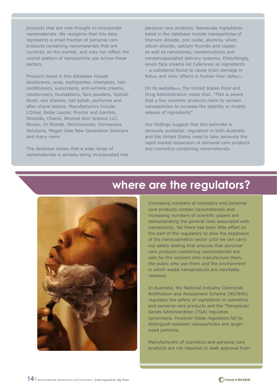products that are now thought to incorporate nanomaterials. We recognize that this data represents a small fraction of personal care products containing nanomaterials that are currently on the market, and may not reflect the overall pattern of nanoparticle use across these sectors.

Products listed in this database include deodorants, soap, toothpastes, shampoos, hair conditioners, sunscreens, anti-wrinkle creams, moisturizers, foundations, face powders, lipstick, blush, eye shadow, nail polish, perfumes and after-shave lotions. Manufacturers include L'Oréal, Estée Lauder, Proctor and Gamble, Shiseido, Chanel, Beyond Skin Science LLC, Revlon, Dr Brandt, SkinCeuticals, Dermazone Solutions, Megan Gale New Generation Skincare and many more.

The database shows that a wide range of nanomaterials is already being incorporated into personal care products. Nanoscale ingredients listed in the database include nanoparticles of titanium dioxide, zinc oxide, alumina, silver, silicon dioxide, calcium fluoride and copper, as well as nanosomes, nanoemulsions and nanoencapsulated delivery systems. Disturbingly, seven face creams list fullerenes as ingredients – a substance found to cause brain damage in fish $[86]$  and toxic effects in human liver cells $[87]$ .

On its website[88], the United States Food and Drug Administration notes that: "FDA is aware that a few cosmetic products claim to contain nanoparticles to increase the stability or modify release of ingredients".

Our findings suggest that this estimate is seriously outdated; regulators in both Australia and the United States need to take seriously the rapid market expansion of personal care products and cosmetics containing nanomaterials.



### **where are the regulators?**

Increasing numbers of cosmetics and personal care products contain nanomaterials and increasing numbers of scientific papers are demonstrating the general risks associated with nanotoxicity. Yet there has been little effort on the part of the regulators to slow the expansion of the nanocosmetics sector until we can carry out safety testing that ensures that personal care products containing nanomaterials are safe for the workers who manufacture them, the public who use them and the environment in which waste nanoproducts are inevitably released.

In Australia, the National Industry Chemicals Notification and Assessment Scheme (NICNAS) regulates the safety of ingredients in cosmetics and personal care products and the Therapeutic Goods Administration (TGA) regulates sunscreens. However these regulators fail to distinguish between nanoparticles and larger sized particles.

Manufacturers of cosmetics and personal care products are not required to seek approval from

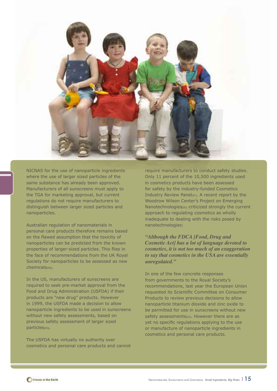

NICNAS for the use of nanoparticle ingredients where the use of larger sized particles of the same substance has already been approved. Manufacturers of all sunscreens must apply to the TGA for marketing approval, but current regulations do not require manufacturers to distinguish between larger sized particles and nanoparticles.

Australian regulation of nanomaterials in personal care products therefore remains based on the flawed assumption that the toxicity of nanoparticles can be predicted from the known properties of larger-sized particles. This flies in the face of recommendations from the UK Royal Society for nanoparticles to be assessed as new chemicals[89].

In the US, manufacturers of sunscreens are required to seek pre-market approval from the Food and Drug Administration (USFDA) if their products are "new drug" products. However in 1999, the USFDA made a decision to allow nanoparticle ingredients to be used in sunscreens without new safety assessments, based on previous safety assessment of larger sized particles[90].

The USFDA has virtually no authority over cosmetics and personal care products and cannot require manufacturers to conduct safety studies. Only 11 percent of the 10,500 ingredients used in cosmetics products have been assessed for safety by the industry-funded Cosmetics Industry Review Panel[91]. A recent report by the Woodrow Wilson Center's Project on Emerging Nanotechnologies[92] criticized strongly the current approach to regulating cosmetics as wholly inadequate to dealing with the risks posed by nanotechnologies:

*"Although the FDCA [Food, Drug and Cosmetic Act] has a lot of language devoted to cosmetics, it is not too much of an exaggeration to say that cosmetics in the USA are essentially unregulated."*

In one of the few concrete responses from governments to the Royal Society's recommendations, last year the European Union requested its Scientific Committee on Consumer Products to review previous decisions to allow nanoparticle titanium dioxide and zinc oxide to be permitted for use in sunscreens without new safety assessments<br/>[93]. However there are as yet no specific regulations applying to the use or manufacture of nanoparticle ingredients in cosmetics and personal care products.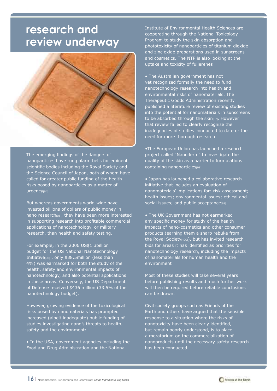### **research and review underway**



The emerging findings of the dangers of nanoparticles have rung alarm bells for eminent scientific bodies including the Royal Society and the Science Council of Japan, both of whom have called for greater public funding of the health risks posed by nanoparticles as a matter of urgency[94].

But whereas governments world-wide have invested billions of dollars of public money in nano research[95], they have been more interested in supporting research into profitable commercial applications of nanotechnology, or military research, than health and safety testing.

For example, in the 2006 US\$1.3billion budget for the US National Nanotechnology Initiative[96] , only \$38.5million (less than 4%) was earmarked for both the study of the health, safety and environmental impacts of nanotechnology, and also potential applications in these areas. Conversely, the US Department of Defense received \$436 million (33.5% of the nanotechnology budget).

However, growing evidence of the toxicological risks posed by nanomaterials has prompted increased (albeit inadequate) public funding of studies investigating nano's threats to health, safety and the environment:

• In the USA, government agencies including the Food and Drug Administration and the National

Institute of Environmental Health Sciences are cooperating through the National Toxicology Program to study the skin absorption and phototoxicity of nanoparticles of titanium dioxide and zinc oxide preparations used in sunscreens and cosmetics. The NTP is also looking at the uptake and toxicity of fullerenes

• The Australian government has not yet recognized formally the need to fund nanotechnology research into health and environmental risks of nanomaterials. The Therapeutic Goods Administration recently published a literature review of existing studies into the potential for nanomaterials in sunscreens to be absorbed through the skin[97]. However that review failed to clearly recognize the inadequacies of studies conducted to date or the need for more thorough research

•The European Union has launched a research project called "Nanoderm" to investigate the quality of the skin as a barrier to formulations containing nanoparticles[98]

• Japan has launched a collaborative research initiative that includes an evaluation of nanomaterials' implications for: risk assessment; health issues; environmental issues; ethical and social issues; and public acceptance[99]

• The UK Government has not earmarked any specific money for study of the health impacts of nano-cosmetics and other consumer products (earning them a sharp rebuke from the Royal Society<sub>[100]</sub>), but has invited research bids for areas it has identified as priorities for nanotechnology research, including the impacts of nanomaterials for human health and the environment

Most of these studies will take several years before publishing results and much further work will then be required before reliable conclusions can be drawn.

Civil society groups such as Friends of the Earth and others have argued that the sensible response to a situation where the risks of nanotoxicity have been clearly identified, but remain poorly understood, is to place a moratorium on the commercialization of nanoproducts until the necessary safety research has been conducted.

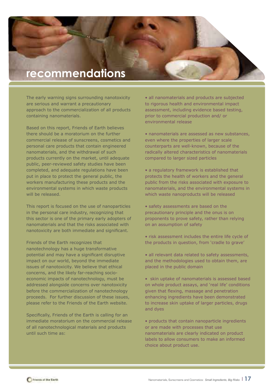### **recommendations**

The early warning signs surrounding nanotoxicity are serious and warrant a precautionary approach to the commercialization of all products containing nanomaterials.

Based on this report, Friends of Earth believes there should be a moratorium on the further commercial release of sunscreens, cosmetics and personal care products that contain engineered nanomaterials, and the withdrawal of such products currently on the market, until adequate public, peer-reviewed safety studies have been completed, and adequate regulations have been put in place to protect the general public, the workers manufacturing these products and the environmental systems in which waste products will be released.

This report is focused on the use of nanoparticles in the personal care industry, recognizing that this sector is one of the primary early adopters of nanomaterials and that the risks associated with nanotoxicity are both immediate and significant.

Friends of the Earth recognizes that nanotechnology has a huge transformative potential and may have a significant disruptive impact on our world, beyond the immediate issues of nanotoxicity. We believe that ethical concerns, and the likely far-reaching socioeconomic impacts of nanotechnology, must be addressed alongside concerns over nanotoxicity before the commercialization of nanotechnology proceeds. For further discussion of these issues, please refer to the Friends of the Earth website.

Specifically, Friends of the Earth is calling for an immediate moratorium on the commercial release of all nanotechnological materials and products until such time as:

• all nanomaterials and products are subjected to rigorous health and environmental impact assessment, including evidence based testing, prior to commercial production and/ or environmental release

- nanomaterials are assessed as new substances, even where the properties of larger scale counterparts are well-known, because of the radically altered characteristics of nanomaterials compared to larger sized particles
- a regulatory framework is established that protects the health of workers and the general public from the risks associated with exposure to nanomaterials, and the environmental systems in which waste nanoproducts will be released
- safety assessments are based on the precautionary principle and the onus is on proponents to prove safety, rather than relying on an assumption of safety
- risk assessment includes the entire life cycle of the products in question, from 'cradle to grave'
- all relevant data related to safety assessments, and the methodologies used to obtain them, are placed in the public domain
- skin uptake of nanomaterials is assessed based on whole product assays, and 'real life' conditions given that flexing, massage and penetration enhancing ingredients have been demonstrated to increase skin uptake of larger particles, drugs and dyes
- products that contain nanoparticle ingredients or are made with processes that use nanomaterials are clearly indicated on product labels to allow consumers to make an informed choice about product use.

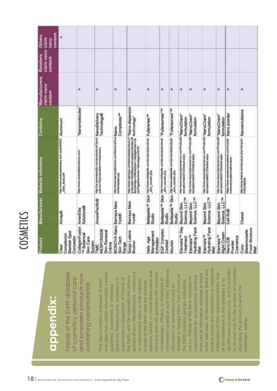to be used only for the purpose of accurately product names are trademarks or registered to be used only for the purpose of accurately dentification purposes only, and is intended identification purposes only, and is intended information located at such sites. Additional other web sites. All Manufacturer brand and other web sites. All Manufacturer brand and product names are trademarks or registered approve, certify, or control these other web approve, certify, or control these other web nformation located at such sites. Additional web sites that contain information created, sites and does not guarantee the accuracy, **18** | Nanomaterials, Sunscreens and Cosmetics: *Small Ingredients, Big Risks* **appendix:** *Friends of the Earth database of cosmetics, personal care and sunscreen products now containing nanomaterials* policies of such Manufacturers, institutions policies of such Manufacturers, institutions sites and does not guarantee the accuracy, from use of information obtained at these trademarks of their respective holder. Use trademarks of their respective holder. Use from use of information obtained at these directed to Georgia Miller from Friends of directed to Georgia Miller from Friends of the Earth, and the copyright and privacy responsibility for consequences resulting responsibility for consequences resulting org.au. Friends of the Earth assumes no posted by Manufacturers, institutions or org.au. Friends of the Earth assumes no organisations independent of Friends of completeness, efficacy, or timeliness of of any trademark in this database is for of any trademark in this database is for This report contains addresses of other or organisations apply to that material. completeness, efficacy, or timeliness of or organisations apply to that material. Friends of the Earth does not endorse, the Earth Australia georgia.miller@foe. Friends of the Earth does not endorse, the Earth Australia georgia.miller@foe. information or corrections should be information or corrections should be published, maintained, or otherwise describing the product to which the describing the product to which the trademark applies. trademark applies.

| Product                                              |                                           | Manufacturer Website reference                                                                                                                                                                   | Contains                | <b>Manufacturers</b><br>claim nano<br>contant | claim nano claim<br>Rotailors<br>content | content<br>Others<br>nano |
|------------------------------------------------------|-------------------------------------------|--------------------------------------------------------------------------------------------------------------------------------------------------------------------------------------------------|-------------------------|-----------------------------------------------|------------------------------------------|---------------------------|
| Blemish Spot<br>Complexion<br>Concealer<br>Clear     | Almay®                                    | http://www.acaeocaondustry.com.au/pdfiANO Aljuminium                                                                                                                                             |                         |                                               |                                          |                           |
| CollagenFusion<br>w Botanical<br>Skin Care<br>System | Solutions®<br>AmerEille                   | http://www.arranethesohutions.com/                                                                                                                                                               | "Nanomolecules"         | ×                                             |                                          |                           |
| RESPONSE®<br>Skin Renewal<br>Créme<br>TIME           | AmorePacific®                             | нарим анономике сообремлен желеке NanoDelivery<br>машин-заровлейшениминген                                                                                                                       |                         | ٠                                             |                                          |                           |
| <b>BIONOVA Nano</b><br>Skin Tech<br>Range            | Barneys New<br>York®                      | http://www.tuimensbiznova.com/bionova/Cun Njang-                                                                                                                                                 | Complexes <sup>Tu</sup> | ۳                                             |                                          |                           |
| Serge Lutens<br>Blusher                              | Barneys New<br><b>York®</b>               | htp://www.tasraya.comboinseesprobut.s? "Nanno dispersion<br>profundariloidaa.com/ornaalepanjärdenelt<br>ikonolinieurotitalaisieur?stpapehdenn2s. fechnology"<br>perPageElements+10&nategory40-20 |                         | ₩                                             |                                          |                           |
| Management<br>Defy: Age<br>Exfoliator                | Studio                                    | Beltapelie III Skin liter/www.telapak.cockproducts/protats Fullerenes III<br>ex.do.                                                                                                              |                         | ₩                                             |                                          |                           |
| EGF Complex<br>Cocktail                              | Studio                                    | Bellapelle <sup>TH</sup> Skin Microwavelayer control concernation TFullersomes" <sup>TH</sup><br>skin hautist ook                                                                                |                         | ۰                                             |                                          |                           |
| Vourish                                              | Studio                                    | Bellopelle <sup>no</sup> Skin the www.telesies.com/economicals *Fullersomes" ha<br>and Users United                                                                                              |                         | ۰                                             |                                          |                           |
| Eternalis <sup>TV</sup> Day<br>Treatment             | Science, LLC <sup>74</sup><br>Beyond Skin | http://www.teryordskinscience.com/Prosuit0."NanoCherts"<br>econocytable? 20 Details agor                                                                                                         | formulation             | ۰                                             |                                          |                           |
| Hydrating Face<br>Eternalis <sup>m</sup><br>Mist     | Science, LLC <sup>74</sup><br>Beyond Skin | ізду Линия бауыхізальніка-колетка-кол. "МалоСпетт"<br>експреклама 72 била жана верх                                                                                                              | formulation             | ۰                                             |                                          |                           |
| Hydrating Face<br>Eternalis <sup>TH</sup><br>Mist    | Solence, LLC <sup>74</sup><br>Beyond Skin | тер/мим беургазантиканта сатитуалда "Мал-рС"педг"<br>екстрективног 2004 выс                                                                                                                      | formulation             | ٠                                             |                                          |                           |
| <b>Night Cream</b><br>Etemalis <sup>m</sup>          | Science, LLC <sup>74</sup><br>Beyond Skin | http://www.bayerdskirocience.com/ProductD_"ManOChern"<br>excretive/webs/220briain.aspx                                                                                                           | formulation             | ₩                                             |                                          |                           |
| Cosmetica<br>Nano-C®<br>Powder                       | Call Rx®                                  | Riggs Weeve assessort interest com/cc/ski<br>nrecorprovatem/cellomans/                                                                                                                           | Nano powder             | ×                                             |                                          |                           |
| Fresh Moisture<br>Mademoiselle<br>Coco<br>Mist       | Chanel                                    | taguluna atarel comproduct pho?striptor Nanceemulations                                                                                                                                          |                         |                                               |                                          |                           |

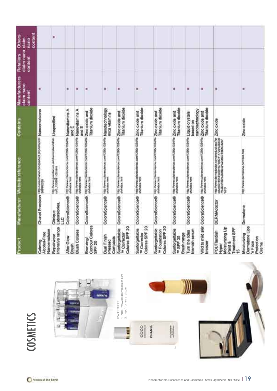| Product                                                                     | Manufacturer                            | Website reference                                                                                     | Contains                   | Manufacturers<br>claim nano<br>content | claim nano claim<br>Retailers<br>content | content<br><b>Others</b><br>parc |
|-----------------------------------------------------------------------------|-----------------------------------------|-------------------------------------------------------------------------------------------------------|----------------------------|----------------------------------------|------------------------------------------|----------------------------------|
| Nanoemulsion<br>Alcohol-Free<br>Calming                                     |                                         | Chanel Precision High Alma these comproduct pro forests. Nanoemulalons                                |                            | 艏                                      |                                          |                                  |
| Intensive range<br>Repairwear                                               | Laboratories.<br>Clinique<br>110<br>110 | http://www.guardian.co.uk/chara<br>tyli2_1209991.00 html                                              | manuscritic Unspecified    |                                        |                                          | ×                                |
| After Glow<br>Brush                                                         | ColoreScience®                          | tres Newer colorescences constitution (124/18 Nampyttamints A                                         | and E                      | ٠                                      |                                          |                                  |
| Blush Colores                                                               | ColoreScience®                          | mas awww.colorescances.com/1220x1024fts Nation/Vitamints A                                            | and E                      | $\frac{1}{2}$                          |                                          |                                  |
| Contour Colores<br>SPF 20<br>Bronzing                                       | ColoreScience®                          | http://www.colorescences.com/1262x1024fts.Zinc.co/d6s.and                                             | Titanium dioxide           | ٠                                      |                                          |                                  |
| <b>Dual Finish</b><br>Compacts<br>Pressed                                   | ColoreScience®                          | http://www.colorescience.com/1200x1024/file Natingtechnology                                          | mica vitamins              | ×                                      |                                          |                                  |
| Colores SPF 20<br>Sunforgettable<br><sup>16</sup> Corrector                 | ColoreScience®                          | http://www.coloresoberce.com/1280x1024fte Zinc oxide and                                              | Titarium dioxide           | ٠                                      |                                          |                                  |
| Colores SPF 20<br>Sunforgettable<br><sup>tw</sup> Corrector                 |                                         | ColoreScience® http://www.colorestore.com/1280x102419 Zinc oxide and                                  | Titanium dioxide           | ۰                                      |                                          |                                  |
| Colores SPF 20<br>Sunforgettable<br>Tw Foundation                           | ColoreScience®                          | http://www.cotonecoe.com/1260x1024/8a Zinc oxide and                                                  | <b>Titanium</b> dioxide    | ж                                      |                                          |                                  |
| Sunforgettable<br>Brush range<br>w SPF 30                                   | ColoreScience®                          | http://www.coloresotence.com/1280x10247ta Zinc cxxdle and                                             | Titarilum dioxide          | ₩                                      |                                          |                                  |
| Turn the tides<br>blemish serum                                             | ColoreSclence®                          | http://www.colorescance.com/1260x1024ffa Liquid Crystals                                              | nanctechnology<br>based on | ₩                                      |                                          |                                  |
| bronzer                                                                     | Wild to mild skin ColoreScience®        | http://www.cutoresolerica.com/1280x1024fta.20nc.cx/de.and                                             | Titanium dioxide           | ×                                      |                                          |                                  |
| Molsturizing Lip<br>Treatment SPF<br>POUTlandish<br>Paint &<br>Hyper<br>iO. | <b>DERMAdoctor</b>                      | http://www.demadoctor.com/product.asp?pr 20nc.co/dde<br>coluctib-efs-avidle-%?teb0111728%20E35<br>%?p |                            | ۰                                      |                                          |                                  |
| Dermatone Lips<br>Moisturizing<br>Protection<br>in Face<br>Crome            | Dermatone                               | http://www.dermarone.com/lina.htm                                                                     | Zinc oxide                 |                                        |                                          |                                  |

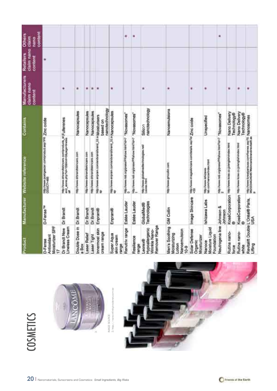| Moisturizer SPF<br>Lineless Cream<br>Dr Brandt New<br>Antioxidant<br>Product<br>D-Ferse<br>Ŀ | D-Fense <sup>TM</sup><br>Dr Brandt              | http://www.ahbrandhaneare.com/products_st_Fullierce.nes<br>and_atom_php?hd=15&imm=0&yage=leads<br>пер личии рокпреези: сопертовизана ПРК ZINC OXIDe<br>COUCT-485<br>Manufacturer Website reference<br>ħ | Contains                         | Manufacturers<br>claim nano<br>content | claim nano claim<br>Retailers<br>content<br>۰ | content<br><b>Others</b><br>nano |
|----------------------------------------------------------------------------------------------|-------------------------------------------------|---------------------------------------------------------------------------------------------------------------------------------------------------------------------------------------------------------|----------------------------------|----------------------------------------|-----------------------------------------------|----------------------------------|
| Double Dose in<br><b>Laser Relief</b><br>a Box                                               | Dr Brandt<br>Dr Brandt                          | http://www.drtrrandbabscare.com<br>http://www.dribrandtailncare.com                                                                                                                                     | Nanocapsules                     | ۰<br>兼                                 |                                               |                                  |
| Laser Tight                                                                                  | Dr Brandt                                       | пер линии фразованием соп                                                                                                                                                                               | Nanocapsules<br>Nanocapsules     | ٠                                      |                                               |                                  |
| Innermost skin<br>cream range                                                                | Enprant@                                        | http://www.enprain.com/wide/and-traind_02.a Moisturisers.<br>š                                                                                                                                          | nanotechnology<br>based on       | l. ₩                                   |                                               |                                  |
| Super Aqua<br>skin cream<br>egiae)                                                           | Enpranie                                        | mprowww.erpram.commonwaterand.jp2.a Nanoocapsules<br>ä                                                                                                                                                  |                                  | ÷                                      |                                               |                                  |
| Renutriv range                                                                               | Estée Lauder                                    | пер личии лав огрузивали этом неигуач?<br>0                                                                                                                                                             | "Novasomes"                      |                                        |                                               | ۰                                |
| Resilience<br>carige                                                                         | Estée Lauder                                    | "SoulDospon, i.e. c.publication works and an annual that                                                                                                                                                |                                  |                                        |                                               | ۳                                |
| Remover Range<br>Hypoallengenic<br>Wrinkle Nano-<br>Leorex®                                  | Technologies<br>GlobalMed®                      | http://www.globalmedtechnologies.net/<br>Lieone/html                                                                                                                                                    | nanctechnology<br><b>Salicon</b> | ×                                      |                                               |                                  |
| Men's Soothing GM Collin<br>Vancemulsion<br>Moisturizing<br>Lotion<br>10-9                   |                                                 | http://www.gmcollin.com                                                                                                                                                                                 | Nanoemuteiona                    | ₩                                      |                                               |                                  |
| Solar Defense<br>Moisturizer<br>Organic                                                      | Image Skincare                                  | http://www.vrageeliccare.com/details.asp?dr Zinc oxide                                                                                                                                                  |                                  | ٠                                      |                                               |                                  |
| Moisture Liquid<br>Foundation<br>Nanoce                                                      | Ishizawa Labs                                   | lab com/nancca/index.html<br><b>TIRGITAWAY REGISTER</b>                                                                                                                                                 | Unspecified                      |                                        |                                               |                                  |
| Neutrogena line Johnson &                                                                    | Johnson                                         | 2<br>2<br>2<br>2                                                                                                                                                                                        |                                  |                                        |                                               | ۳                                |
| Rutina nano-<br><b>Scotla</b>                                                                | ø                                               | КовёСогрогабол перімим ком се рипрелигають                                                                                                                                                              | Nano Delivery<br>Technology®     | ×                                      |                                               |                                  |
| Rutina nano-<br>white                                                                        | $\bullet$                                       | KoséCorporation http://www.tone.co.jp/englah/index.html                                                                                                                                                 | Nano Delivery<br>Technology®     | ₩                                      |                                               |                                  |
| Lifting                                                                                      | Revitalitt Double L'Oréal® Paris.<br><b>USA</b> | http://www.bivialparisus.com/tureres.asp?i2. Natriosom.es<br>982003442464679stmonrobrandyrentialt.as                                                                                                    |                                  |                                        |                                               |                                  |





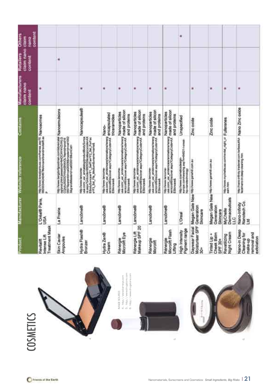| Intense Lift<br>Revitaint                                             |                                    |                                                                                                                                                                                                | Contains                                         | Manufacturers<br>claim nano<br>contant | claim nano claim<br><b>Retailers</b><br>content | content<br><b>Others</b><br>nano |  |
|-----------------------------------------------------------------------|------------------------------------|------------------------------------------------------------------------------------------------------------------------------------------------------------------------------------------------|--------------------------------------------------|----------------------------------------|-------------------------------------------------|----------------------------------|--|
| Treatment Mask                                                        | L'Oréal® Paris.<br>USA             | http://www.lorealparkuas.com/hames.wsr?0_Nigh0d90mbs<br>á                                                                                                                                      |                                                  | ٠                                      |                                                 |                                  |  |
| Skin Caviar<br>Ampoules                                               | La Prairie                         | пертични запработроватива котпертичени Малюетизаціюта<br>органа увло јакиманалиси Тоснтичку син Са<br>органалиси Самоналиси Тоснтички син Сас<br>MigrandMasteridroat0000188.cmCat=             |                                                  |                                        | ٠                                               |                                  |  |
| Hydra Flash®<br>Bronzer                                               | Lancôme®                           | usa.com/_us/_enitateoproductibor/Surea<br>tribor/processive-storic text (2) processive<br>tribor/sureaution/Sureaution/Sureaution/<br>w191_Set_Fitt_Mexican&anetwineweals<br>пер личии шполте- | Nanocapsules®                                    | ×                                      |                                                 |                                  |  |
| Hydra Zen®<br>Cream                                                   | Lancome®                           | http://www.lancoma-<br>usa conv_us/_an/alencare/armations/www.g.fr/cappudated<br>amicroate/osciner.asp?Categor/ColassiX_en/cappudated<br>ESkincared                                            | triceramides                                     | ÷                                      |                                                 |                                  |  |
| Rénergie<br>Microlft Eye                                              | Lancome®                           | Www.com/_uei_enternationalensiensie<br>http://www.lancome-<br>ESHridaya                                                                                                                        | made of silicon<br>Nanoparticles<br>and profeins | 唐                                      |                                                 |                                  |  |
| Makeup SPF 20<br>Rénergie Lift                                        | Lancome®                           | usa com usi entinonamismissionalmente of silicon<br><b>TIES: INVANT SERVICE</b><br>ESkingeris                                                                                                  | Nanoparticles<br>and proteins                    | ¥                                      |                                                 |                                  |  |
| Rénergie<br>Microlft                                                  | Lancôme®                           | usa com jusi printrionalammotoratearig<br><b>INED TRAVAW Temporney</b><br>EShiricare&                                                                                                          | made of silicon<br>Nanoparticles<br>and proteins | ٠                                      |                                                 |                                  |  |
| Microlift Flash<br>Rénergie<br>Lifting                                | Lancome®                           | usa.com usi entannoserammatorsheng made of silicon<br>http://www.lancome-<br>ESBINGBIBS                                                                                                        | Nanoparticles<br>and proteins                    | ×                                      |                                                 |                                  |  |
| Pigment range<br><b>High Intensity</b>                                | L'Oreal                            | http://www.ccumeticadesge-<br>exrops.com/hereshg.asg?n=64221-i-oreal-<br>No-ranotechnology                                                                                                     | Unspecified                                      |                                        |                                                 | ۰                                |  |
| Moisturtser SPF<br>å                                                  | Generation<br>Skincare             | Daywear Facial Megan Gale New http://www.panna.com.au                                                                                                                                          | Zinc oxide                                       | ×                                      |                                                 |                                  |  |
| Cheek Balm<br>Tinted Lip +<br>SPF 30+                                 | Generation<br>Skincare             | Megan Gale New http://www.ganahil.com.au                                                                                                                                                       | Zinc oxide                                       | ×                                      |                                                 |                                  |  |
| Night Cream<br>Revatilizing                                           | Demaceuticals<br>MyChelle<br>ЩС    | hts личи жуснями компили, нук, и Fullerenes.<br>кип.mn                                                                                                                                         |                                                  | m                                      |                                                 |                                  |  |
| Nano-in Deep<br>removal and<br>Cleaning for<br>exfoliation<br>make-up | Nanotech Co.<br>Nano-Infinity<br>3 | http://www.infirity.tradenet.com.herbeauth.i- Nanno Zinic oxide                                                                                                                                |                                                  | ×                                      |                                                 |                                  |  |

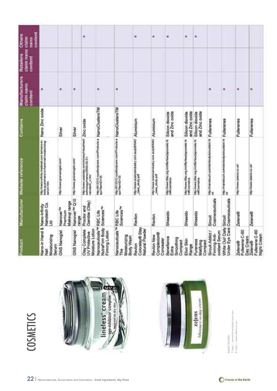| content<br>Others<br>nano                       |                                                               |                                                  |                                    | ۰                                                                               |                                                                                                 |                                                                          | ۰                                                  | ۰                                                  | ٠                                                            | ٠                                                          | ۰                                                                |                                                          |                                                         |                                        |                                                 |
|-------------------------------------------------|---------------------------------------------------------------|--------------------------------------------------|------------------------------------|---------------------------------------------------------------------------------|-------------------------------------------------------------------------------------------------|--------------------------------------------------------------------------|----------------------------------------------------|----------------------------------------------------|--------------------------------------------------------------|------------------------------------------------------------|------------------------------------------------------------------|----------------------------------------------------------|---------------------------------------------------------|----------------------------------------|-------------------------------------------------|
| claim nano claim<br><b>Retailers</b><br>contant |                                                               |                                                  |                                    |                                                                                 |                                                                                                 |                                                                          |                                                    |                                                    |                                                              |                                                            |                                                                  |                                                          |                                                         |                                        |                                                 |
| <b>Manufacturers</b><br>claim nano<br>contant   | m                                                             | ۰                                                | ٠                                  |                                                                                 | $\blacksquare$                                                                                  | ٠                                                                        |                                                    |                                                    |                                                              |                                                            |                                                                  | ۰                                                        | $\blacksquare$                                          | ۰                                      | ۰                                               |
| Contains                                        | Nano Zinc oxide                                               | Silver                                           | Silver                             |                                                                                 |                                                                                                 |                                                                          |                                                    |                                                    | and Zinc oxide<br>Silicon dioxide                            | and Zinc oxide<br>Silicon dioxide                          | Silicon dioxide<br>and Zinc oxide                                |                                                          |                                                         | Fullerenes                             | Fullerenes                                      |
| Manufacturer Website reference                  | http://nwoo-infinity.fradenet.com.temano-en-<br>sanum htm     | http://www.granahogiat.com/                      | http://www.grananogist.com/        | htp://www.uaabday.com/nowey/noustrien? Zinc oxide<br>edvology/maney/2006-05-31- | http://t13112.royalbodycam.com/Photosta.a NdanoClustorsTM<br>tpx7ttentD=35                      | mp #1312 rasebodyam comProducts & NanoClustersTM<br>sprinterio-35        | mp awww.sceeceendustry.com.autoditANG Altuminium   | trip; Newe acienciecism's com autoritate Aluminium | htp://www.titic.org.in/chierban/apporais.ht<br>miliCoametica | http://www.tfac.org.in/offertsw/japocwie.ht<br>m#Coanutics | http://www.titist.org.inicfler/text/apostele.ht<br>millCosmetics | http://manatouch.com/storocy/sinculatio.html Fullentenes | rep amendouch communications counter in Fullerenes      | http://www.zelens.co.uk/               | <b>THEO DWAW JIBBIRI CO LIN</b>                 |
|                                                 | Β                                                             | Makeup range<br>Nanover <sup>74</sup><br>Premium | Nanover <sup>ni</sup> Q10<br>range | Gamble (Olay)<br>Proctor and                                                    |                                                                                                 | Sciences <sup>TM</sup>                                                   | Revion                                             | Revion                                             | Shisakdo                                                     | Shiseido                                                   | Shiseido                                                         | Cosmeceuticals<br>Sircuit                                |                                                         | Zelens®                                | Zelens®                                         |
| Product                                         | Nano-in Hand & Nano-Infinity<br>Nail<br>Moisturizing<br>Serum | <b>GNS Nanogist</b>                              | GNS Nanogist                       | Moisture Lotion<br>Olay Complete<br>UV Protective                               | NutraFirm Body Sciences <sup>TM</sup><br>Nanoceuticals <sup>TM</sup> RBC Life<br>Firming Lotion | Nanoceuticals <sup>na</sup> RBC Life<br>Moisturizing<br>Body Wash<br>Phe | Colorstay® Stay<br><b>Natural Powder</b><br>Revion | Complexion®<br>Revion New<br>Concealer             | Benefiance<br>Smoothing<br>Compact<br>Extra                  | Elixir Skin<br>Range                                       | Pureness<br>Matifying<br>Compact                                 | Sircuit Addict /<br>oxidant Serum<br>Firming Anti-       | Under Eye Care Cosmeceuticals<br>White Out Daily Sirout | Fullerene C-60<br>Day Cream<br>Zelens® | Fullerene C-80<br><b>Night Cream</b><br>Zelens® |







IMAGE SOURCE:<br>7. http://www.drbrandtskincare.com<br>8. http://www.zelens.co.uk/ 7. http://www.drbrandtskincare.com 8. http://www.zelens.co.uk/IMAGE SOURCE: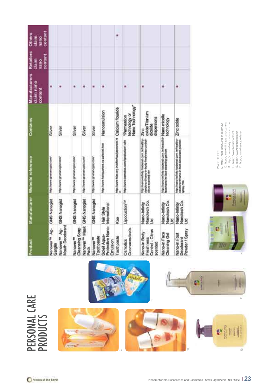|                                                                                     | contant<br><b>Others</b><br>۰<br>daim<br>Ranco<br>Retailers<br>content<br>claim<br>nano | Manufacturers<br>claim nano<br>W<br>contant | Nano Technology<br>Nanoamulsion<br>oxide/Titanium<br>lechnology or<br>Nano miosfile<br>Permeation<br>dispersions<br>technology<br>Contains<br>dioxide<br>Silver<br>Silver<br>Silver<br>Silver<br>Silver<br>Zinc | http://nano-infinity.tradenet.com.twitwaudte-<br>tetp://nano-infinity.tradenet.com.tw/headthy-<br>deoporartificano in body insurriesa control<br>the inventional composition (chi<br>1995 There's Paintinant on 24/4/148 NM<br>face/tano-in-face-clearing-gel.htm<br>Manufacturor Website reference<br>http://www.gnananogist.com/<br>imp mean granteogut com<br>Importance greetanogist.com/<br>http://www.gnananogist.com/<br>this years during assets<br>citrus-economic htm<br>厦 | <b>GNS Nanogist</b><br><b>GNS Nanogist</b><br><b>GNS Nanogist</b><br><b>GNS Nanogist</b><br><b>GNS Nanogist</b><br>Lipoduction <sup>134</sup><br>Nandech Co.<br>Nanciench Co.<br>Nano-Infinity<br>Nano-Infinity<br>International<br>Hair Style<br>Kao<br>E |
|-------------------------------------------------------------------------------------|-----------------------------------------------------------------------------------------|---------------------------------------------|-----------------------------------------------------------------------------------------------------------------------------------------------------------------------------------------------------------------|--------------------------------------------------------------------------------------------------------------------------------------------------------------------------------------------------------------------------------------------------------------------------------------------------------------------------------------------------------------------------------------------------------------------------------------------------------------------------------------|------------------------------------------------------------------------------------------------------------------------------------------------------------------------------------------------------------------------------------------------------------|
|                                                                                     |                                                                                         |                                             |                                                                                                                                                                                                                 | http://www.infinity.trademet.com.tw/headthy Zinc Oxide<br>deodoranthumo-in-foot-deodoram-powder-<br>spray him                                                                                                                                                                                                                                                                                                                                                                        | Nanotech Co.<br>Nano-Infinity<br>Ξ                                                                                                                                                                                                                         |
|                                                                                     |                                                                                         |                                             |                                                                                                                                                                                                                 |                                                                                                                                                                                                                                                                                                                                                                                                                                                                                      |                                                                                                                                                                                                                                                            |
| <b>Vano-in Face</b>                                                                 |                                                                                         |                                             |                                                                                                                                                                                                                 |                                                                                                                                                                                                                                                                                                                                                                                                                                                                                      |                                                                                                                                                                                                                                                            |
| Control - Citrus<br>Vano-in Body                                                    |                                                                                         |                                             |                                                                                                                                                                                                                 |                                                                                                                                                                                                                                                                                                                                                                                                                                                                                      |                                                                                                                                                                                                                                                            |
| <b>Zosmaceuticals</b>                                                               |                                                                                         |                                             |                                                                                                                                                                                                                 |                                                                                                                                                                                                                                                                                                                                                                                                                                                                                      |                                                                                                                                                                                                                                                            |
|                                                                                     |                                                                                         |                                             |                                                                                                                                                                                                                 |                                                                                                                                                                                                                                                                                                                                                                                                                                                                                      |                                                                                                                                                                                                                                                            |
| http://www.trac.org.inisflantswijaposesia.html Cabcium flouride<br>Protective Nano- |                                                                                         |                                             |                                                                                                                                                                                                                 |                                                                                                                                                                                                                                                                                                                                                                                                                                                                                      |                                                                                                                                                                                                                                                            |
|                                                                                     |                                                                                         |                                             |                                                                                                                                                                                                                 |                                                                                                                                                                                                                                                                                                                                                                                                                                                                                      |                                                                                                                                                                                                                                                            |
| <b>Vanover<sup>te</sup> Mask</b>                                                    |                                                                                         |                                             |                                                                                                                                                                                                                 |                                                                                                                                                                                                                                                                                                                                                                                                                                                                                      |                                                                                                                                                                                                                                                            |
| <b>Jeansing Scep</b>                                                                |                                                                                         |                                             |                                                                                                                                                                                                                 |                                                                                                                                                                                                                                                                                                                                                                                                                                                                                      |                                                                                                                                                                                                                                                            |
| Aouth Deodorant                                                                     |                                                                                         |                                             |                                                                                                                                                                                                                 |                                                                                                                                                                                                                                                                                                                                                                                                                                                                                      |                                                                                                                                                                                                                                                            |
| Vanover <sup>74</sup> Ag-<br>Nanover <sup>TM</sup> Ag-                              |                                                                                         |                                             |                                                                                                                                                                                                                 |                                                                                                                                                                                                                                                                                                                                                                                                                                                                                      |                                                                                                                                                                                                                                                            |



IMAGE SOURCE:

9. http://nano-infinity.tradenet.com.tw 10. http://nano-infinity.tradenet.com.tw 11. http://nano-infinity.tradenet.com.tw 12. http://www.beautydeals.net 13. http://www.beautydeals.net 14. http://www.beautydeals.net

MAGE SOURCE:<br>9. http://namo-infinitytradenet.com.tw<br>10. http://namo-infinitytradenet.com.tw<br>11. http://namo-infinitytradenet.com.tw<br>13. http://www.beautydeals.net<br>14. http://www.beautydeals.net

PERSONAL CARE PERSONAL CARE<br>PRODUCTS



 $\mathbf{e}$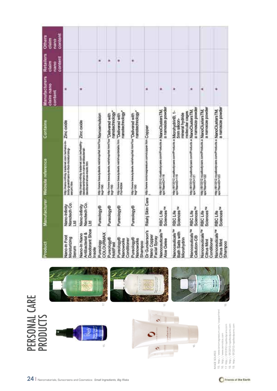| Product                                                                      |                                          | Manufacturer Website reference                                                                                                                                                           | Contains                                                               | Manufacturers<br>claim nano<br>content | Retailers<br>content<br>claim<br>e<br>E | contant<br>Others<br>daim<br>nano<br>E |
|------------------------------------------------------------------------------|------------------------------------------|------------------------------------------------------------------------------------------------------------------------------------------------------------------------------------------|------------------------------------------------------------------------|----------------------------------------|-----------------------------------------|----------------------------------------|
| Vano-in Foot<br>Moisturizing<br>Serum                                        | Nanotech Co.<br>Vanc-Infinity<br>E       | imp zinano-infinity tradenet corn twinano-in-<br>hody-guard/tano-in-foot-molitarrizing-<br><b>Herium Hare</b>                                                                            | Zinc cxide                                                             |                                        |                                         |                                        |
| <b>Deodorant Shoe</b><br><b>Antibacterial &amp;</b><br>Nano-In Nano<br>rsole | Nanotech Co.<br>Nano-Infinity<br>ВŢ      | ritig mano-relivity tradenet com twheathy-<br>deodorantinano in naro-anthocterial-<br>teodorart-shoe-insole.htm                                                                          | Zinc oxide                                                             | ۰                                      |                                         |                                        |
| COLOURNAX<br>Pureology                                                       | Pureology®                               | registerere itelnutgebiete nethhophist HenDita Nan Dermutation<br>libger 190                                                                                                             |                                                                        |                                        | ۰                                       |                                        |
| Pureology®<br>toldFast                                                       | Pureology®                               | ritive Detay (detail) collimitation interest was a constructed<br>DSI-24                                                                                                                 | nanotechnology                                                         |                                        | ۰                                       |                                        |
| Conditioner<br>Pureology®<br>Nanoworks                                       | Pureology®                               | nto: invervidually deals netrahop/details.htm<br><b>Pigs-ecose</b>                                                                                                                       | nanotechnology<br>"Delivered with                                      |                                        | ٠                                       |                                        |
| Pureology®<br>Vanoworks<br>Shampoo                                           | Pureology®                               | dip mew teaspoast retiring to traffice "Delivered with<br>kg=100                                                                                                                         | nanotechnology                                                         |                                        | ٠                                       |                                        |
| Dr Gunderson's<br>Nano Copper<br>Facial Spray                                |                                          | Räahj Skin Cara into iwww.solcrupresium.com/copor.htm.Copper                                                                                                                             |                                                                        | ۰                                      |                                         |                                        |
| Nanoceuticals <sup>74</sup><br><b>Noe Gelee</b>                              | Sciences <sup>TH</sup><br>RBC Life       | nguisticus revenocycles commodum a NanoCustars TM                                                                                                                                        | a ranosiza powder                                                      |                                        |                                         |                                        |
| Nanoceuticals <sup>114</sup><br>Bath Saits with<br>Microhydrin               | Sciences <sup>74</sup><br>RBC Life       | мер (IB13312 пуалкобулив сотРтовить в<br>кратито-119                                                                                                                                     | Microhydrin®, 1-<br>molecular cages<br>mineral hydride<br>5mm silicon- | ۰                                      |                                         |                                        |
| Nanocouticals <sup>114</sup><br>Cellution-C®                                 | Sciences <sup>74</sup><br><b>RBCLIfe</b> | ит литата пункофоне ситРовать в<br>ка?лито=121                                                                                                                                           | a ranosiza powder<br>NanoClustersTM                                    | ٠                                      |                                         |                                        |
| Nanoceuticals <sup>tu</sup><br>Conditioner<br>Citrus Mint                    | Sciences <sup>TM</sup><br>RBC Life       | http://thistian.com/index.com/index.com/index.com/index.com/index.com/index.com/index.com/index.com/<br>http://thermal.com/index.com/index.com/index.com/index.com/index.com/index.com/i | a nanosiza powder                                                      | ۰                                      |                                         |                                        |
| Nanoceuticals <sup>19</sup><br><b>Citrus Mint</b><br>Shampoo                 | Sciences <sup>TH</sup><br>RBC Life       | mp.ret 3312 readooprave conProducts > NanoClusters TM                                                                                                                                    | a nanosize powder                                                      |                                        |                                         |                                        |



 $\circ$ Ш

15. http://www.ionicmagnesium.com/copper.html<br>16. http://www.osmrotics.com<br>17. http://813312.royalbodycare.com<br>18. http://813312.royalbodycare.com<br>19. http://813312.royalbodycare.com 15. http://www.ionicmagnesium.com/copper.html 18. http://813312.royalbodycare.com 19. http://813312.royalbodycare.com 17. http://813312.royalbodycare.com 16. http://www.osmotics.com IMAGE SOURCE: MAGE SOURCE:

#### 24 | Nanomaterials, Sunscreens and Cosmetics: Small Ingredients, Big Risks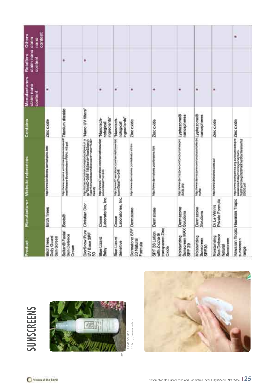| BirchTrees<br>Product                                        |                                 | http://www.birchtrass.com/whysico.titral<br>Manufacturer Website references                                                                               | Contains                                | Manufacturers<br>claim nano<br>content | claim nano claim<br>Retailers<br>content | contont<br><b>Others</b><br><b>Daily</b> |
|--------------------------------------------------------------|---------------------------------|-----------------------------------------------------------------------------------------------------------------------------------------------------------|-----------------------------------------|----------------------------------------|------------------------------------------|------------------------------------------|
| Daily Guard<br>Sun Screen                                    | Birch Trees                     |                                                                                                                                                           | Zinc cxide                              | ٠                                      |                                          |                                          |
| Soltan® Facial<br>Sun Defence<br>Cream                       | Boots®                          | http://www.goonica.com/cma/preservineses/P. Tittanium dioxide<br>mostlelesse Bootsinivalent FINAL.NB.pdf                                                  |                                         |                                        | ٠                                        |                                          |
| DiorSnow Pure<br>UV Base SPF                                 | <b>Christian Dior</b>           | http://store.norgation.com/product/product.a "Nano LIV filters"<br>sp?StyletD=26981768Search=True&Search<br>Type=haywordsearch&agwecrd=nanor%3E<br>Beauty |                                         |                                        | ۰                                        |                                          |
| <b>Blue Lizard</b><br>Baby                                   | Laboratories, Inc.<br>Crown     | http://www.17.aerrahoet.com/aerahotopedate.mVaanottech-<br>scon/Detail?nov.243                                                                            | ingredients"<br>noiogical               | ۰                                      |                                          |                                          |
| <b>Blue Lizard</b><br>Senative                               | Laboratories, Inc.<br>Crown     | http://www.t7.semanost.com/sarvisticrowniab<br>scom/Detail/hnor346                                                                                        | ingredients"<br>"Nanotech-<br>nological | ٠                                      |                                          |                                          |
| Dermatone SPF Dermatone<br>20 Natural<br>Formula             |                                 | http://www.dernatore.com/athutural.htm                                                                                                                    | Zinc axide                              | ٠                                      |                                          |                                          |
| transparent Zinc<br>SPF 36 Lotion<br>with Z-cote ®<br>Oxide  | Dermatone                       | http://www.dematoria.com/praems.htm                                                                                                                       | Zinc oxide                              | ٠                                      |                                          |                                          |
| Sunscreen MAX Solutions<br>Moisturizing<br>SPF <sub>29</sub> | Dermazone                       | теримии автоагоге сотрозидалениего Lyphazome@<br>dualistic                                                                                                | nanospheres                             | ٠                                      |                                          |                                          |
| Moisturizing<br>Sunscreen<br>SPF30                           | Dermazone<br>Solutions          | мрлени автошли сопередала совета (урћа zomne@<br>szła                                                                                                     | nanospheres                             | ۰                                      |                                          |                                          |
| Sun Defence<br>Moisturising<br>Sunscreen<br>Natural          | Private Formula<br>Dr Le Winn's | http://www.driewens.com.au/                                                                                                                               | Zinc cxide                              | ٠                                      |                                          |                                          |
| eunscreen<br>range                                           | Hawailan Tropic Hawaiian Tropic | http://www.techpartinis.org.au/ilowntoadutre.Zinc.cx/die<br>sarrationwidialy/moment/vol/vol/s20.<br>00005.pdf                                             |                                         |                                        |                                          | ۷                                        |

# SUNSCREENS SUNSCREENS



IMAGE SOURCE:<br>20. http://www.nucelle.com 20. http://www.nucelle.com IMAGE SOURCE:

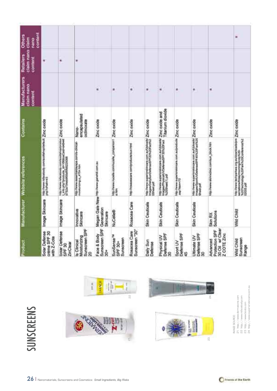|                                                 |                                                          |                                                                                                                                        |                                                                       |                                           |                                                       |                                        |                                                                                                                        |                                                                                                                                         |                                                                         |                                                                                                                    |                                                              | ۰                                                                                                                                             |
|-------------------------------------------------|----------------------------------------------------------|----------------------------------------------------------------------------------------------------------------------------------------|-----------------------------------------------------------------------|-------------------------------------------|-------------------------------------------------------|----------------------------------------|------------------------------------------------------------------------------------------------------------------------|-----------------------------------------------------------------------------------------------------------------------------------------|-------------------------------------------------------------------------|--------------------------------------------------------------------------------------------------------------------|--------------------------------------------------------------|-----------------------------------------------------------------------------------------------------------------------------------------------|
| contant<br><b>Others</b><br>nano                |                                                          |                                                                                                                                        |                                                                       |                                           |                                                       |                                        |                                                                                                                        |                                                                                                                                         |                                                                         |                                                                                                                    |                                                              |                                                                                                                                               |
| claim nano claim<br><b>Retailers</b><br>content | ٠                                                        | ۰                                                                                                                                      | ٠                                                                     |                                           |                                                       |                                        |                                                                                                                        |                                                                                                                                         |                                                                         |                                                                                                                    |                                                              |                                                                                                                                               |
| Manufacturers<br>claim nano<br>content          |                                                          |                                                                                                                                        |                                                                       | ٠                                         | ٠                                                     | ٠                                      | ×                                                                                                                      | ٠                                                                                                                                       | ×                                                                       | ÷.                                                                                                                 | ۰                                                            |                                                                                                                                               |
| Contains                                        |                                                          |                                                                                                                                        | encapsulated<br>octinoxate<br>Nano-                                   | Zinc oxide                                |                                                       | Zinc oxide                             |                                                                                                                        |                                                                                                                                         |                                                                         |                                                                                                                    | Zinc oxide                                                   |                                                                                                                                               |
| Manufacturer Website references                 | http://www.stitecocky.com/scottsh-coloris.itt Zinc oxide | may ilvewe relacemody correlacedarisciphonous: Zimc cuodia<br>Limita php?products_d=165&saCsan-se8-ett<br>p?s2a754edef85ef8fiets226088 | http://www.eeaentlaidayspal.com/ts-ploical-<br>molekurizmg-p_4704.htm | Megan Gale New http://www.galetiit.com.au | http://www.mubelle.com/nuosile_companion1 Zinnc oxode | http://inceasore.com/products/sun.html | http://www.superiorskincare.com.aufUsioade/ ZIInC QXIdio<br>IndepenDailySunDefinatelP/20%20fischi2<br><b>DSHoet ad</b> | mp ilwww.superiorsitecane.com.au/ubisada/ Zinc coolde and<br>trages/Physical/VOwlenseSPF30%30Fact Titlantium dioxide<br>%20Sheet 1).pdf | http://www.supertorstansare.com.autproducts. Zinc.codde<br>aug/https:// | http://www.superiorskincem.com.au/Uploads/_Zinc_oxide<br>Images/Sport/VDelesse/SPF45%20Fact%20<br><b>Shoot</b> pdf | http://www.sarxnclinsc.com/sun_block.htm                     | http://www.techpehara.org.au/doarsoads/pm.Zinc.coddje<br>sertations/inday/nursing/AndyN2D<br>%20Technology%20Park%20Coribonnol%2<br>02005.pdf |
|                                                 | Image Skincare                                           | Image Skincare                                                                                                                         | Innovative<br>Skincare                                                | Generation<br>Skincare                    | <b>NuCelle®</b>                                       | Rosacea Care                           | Skin Ceuticals                                                                                                         | Skin Ceuticals                                                                                                                          | Skin Ceuticals                                                          | Skin Ceuticals                                                                                                     | <b>Solutions</b><br>Skin RX                                  | Wild Child                                                                                                                                    |
| Product                                         | Solar Defense<br>crème SPF 30<br>with Z-Cote             | Solar Defense<br>ZinClear<br>SPF 30                                                                                                    | Sunscreen SPF<br>Moisturizing<br>ts Clinical<br>20                    | Sunscreen SPF<br>Face & Body<br>å         | SunSense <sup>TH</sup><br>Sunscreen<br>SPF 30+        | Sunscreen "30"<br>Rosacea Care         | Daily Sun<br>Defense                                                                                                   | Defense SPF<br>Physical UV<br>g                                                                                                         | Defense SPF<br>Sport UV<br>¥                                            | Defense SPF<br><b>Ultimate UV</b><br>g                                                                             | 30 Oil w/ Clear<br>Protection SPF<br>Z COTE Zinc<br>Advanced | Sunscreen<br>Wild Child<br>Range                                                                                                              |



MAGE SOURCE:<br>21. http://www.lefrmatone.com<br>22. http://www.lefacebody.com<br>23. http://www.bods.com<br>24. http://www.superiorskincare.com.au 24 http://www.superiorskincare.com.au 21. http://www.dermatone.com 22 http://www.rsfacebody.com 23 http://www.boots.com IMAGE SOURCE: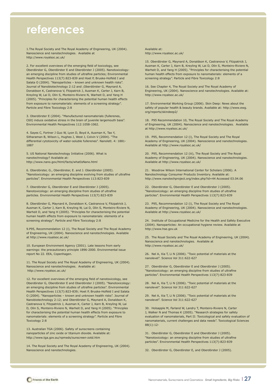### **references**

1.The Royal Society and The Royal Academy of Engineering, UK (2004). Nanoscience and nanotechnologies. Available at http://www.royalsoc.ac.uk/

2. For excellent overviews of the emerging field of toxicology, see Oberdörster G, Oberdörster E and Oberdörster J (2005). Nanotoxicology: an emerging discipline from studies of ultrafine particles; Environmental Health Perspectives 113(7):823-839 and Hoet P, Bruske-Holfeld I and Salata O (2004). "Nanoparticles – known and unknown health risks". Journal of Nanobiotechnology 2:12 and ;Oberdörster G, Maynard A, Donaldson K, Castranova V, Fitzpatrick J, Ausman K, Carter J, Karn B, Kreyling W, Lai D, Olin S, Monteiro-Riviere N, Warheit D, and Yang H (2005). "Principles for characterising the potential human health effects from exposure to nanomaterials: elements of a screening strategy". Particle and Fibre Toxicology 2:8

3. Oberdörster E (2004). "Manufactured nanomaterials (fullerenes, C60) induce oxidative stress in the brain of juvenile largemouth bass". Environmental Health Perspectives 112:1058-1062.

4. Sayes C, Fortner J Guo W, Lyon D, Boyd A, Ausman K, Tao Y, Sitharaman B, Wilson L, Hughes J, West J, Colvin V (2004). "The differential cytotoxicity of water-soluble fullerenes". Nanolett. 4: 1881- 1887

5. US National Nanotechnology Initiative (2006). What is nanotechnology? Available at: http://www.nano.gov/html/facts/whatIsNano.html

6. Oberdörster, G., Oberdörster, E. and J. Oberdörster (2005). "Nanotoxicology: an emerging discipline evolving from studies of ultrafine particles". Environmental Health Perspectives 113:823-839

7. Oberdörster G, Oberdörster E and Oberdörster J (2005). Nanotoxicology: an emerging discipline from studies of ultrafine particles. Environmental Health Perspectives 113(7):823-839

8. Oberdörster G, Maynard A, Donaldson K, Castranova V, Fitzpatrick J, Ausman K, Carter J, Karn B, Kreyling W, Lai D, Olin S, Monteiro-Riviere N, Warheit D, and Yang H (2005). "Principles for characterising the potential human health effects from exposure to nanomaterials: elements of a screening strategy". Particle and Fibre Toxicology 2:8

9.P95, Recommendation 12 (i), The Royal Society and The Royal Academy of Engineering, UK (2004). Nanoscience and nanotechnologies. Available at http://www.royalsoc.ac.uk/

10. European Environment Agency (2001). Late lessons from early warnings: the precautionary principle 1896-2000. Environmental issue report No 22. EEA, Copenhagen.

11. The Royal Society and The Royal Academy of Engineering, UK (2004). Nanoscience and nanotechnologies. Available at: http://www.royalsoc.ac.uk/

12. For excellent overviews of the emerging field of nanotoxicology, see Oberdörster G, Oberdörster E and Oberdörster J (2005). "Nanotoxicology: an emerging discipline from studies of ultrafine particles". Environmental Health Perspectives 113(7):823-839; Hoet P, Bruske-Holfeld I and Salata O (2004). "Nanoparticles – known and unknown health risks". Journal of Nanobiotechnology 2:12; and Oberdörster G, Maynard A, Donaldson K, Castranova V, Fitzpatrick J, Ausman K, Carter J, Karn B, Kreyling W, Lai D, Olin S, Monteiro-Riviere N, Warheit D, and Yang H (2005). "Principles for characterising the potential human health effects from exposure to nanomaterials: elements of a screening strategy". Particle and Fibre Toxicology 2:8

13. Australian TGA (2006). Safety of sunscreens containing nanoparticles of zinc oxide or titanium dioxide. Available at: http://www.tga.gov.au/npmeds/sunscreen-zotd.htm

14. The Royal Society and The Royal Academy of Engineering, UK (2004). Nanoscience and nanotechnologies.

Available at: http://www.royalsoc.ac.uk/

15. Oberdörster G, Maynard A, Donaldson K, Castranova V, Fitzpatrick J, Ausman K, Carter J, Karn B, Kreyling W, Lai D, Olin S, Monteiro-Riviere N, Warheit D, and Yang H (2005). "Principles for characterising the potential human health effects from exposure to nanomaterials: elements of a screening strategy". Particle and Fibre Toxicology 2:8

16. See Chapter 4, The Royal Society and The Royal Academy of Engineering, UK (2004). Nanoscience and nanotechnologies. Available at: http://www.royalsoc.ac.uk/

17. Environmental Working Group (2006). Skin Deep: News about the safety of popular health & beauty brands. Available at: http://www.ewg. org/reports/skindeep2/

18. P95 Recommendation 10, The Royal Society and The Royal Academy of Engineering, UK (2004). Nanoscience and nanotechnologies. Available at http://www.royalsoc.ac.uk/

19. P95, Recommendation 12 (i), The Royal Society and The Royal Academy of Engineering, UK (2004). Nanoscience and nanotechnologies. Available at http://www.royalsoc.ac.uk/

20. P95, Recommendation 12 (iii), The Royal Society and The Royal Academy of Engineering, UK (2004). Nanoscience and nanotechnologies. Available at http://www.royalsoc.ac.uk/

21. Woodrow Wilson International Center for Scholars (2006). A Nanotechnology Consumer Products Inventory. Available at: http://www.nanotechproject.org/index.php?id=44 Accessed 03.04.06

22. Oberdörster G, Oberdörster E and Oberdörster J (2005). "Nanotoxicology: an emerging discipline from studies of ultrafine particles". Environmental Health Perspectives 113(7):823-839

23. P95, Recommendation 12 (i), The Royal Society and The Royal Academy of Engineering, UK (2004). Nanoscience and nanotechnologies. Available at http://www.royalsoc.ac.uk/

24. Institute of Occupational Medicine for the Health and Safety Executive (2004). Nanoparticles: An occupational hygiene review. Available at http://www.hse.gov.uk

25. The Royal Society and The Royal Academy of Engineering, UK (2004). Nanoscience and nanotechnologies. Available at http://www.royalsoc.ac.uk/

26. Nel A, Xia T, Li N (2006). "Toxic potential of materials at the nanolevel". Science Vol 311:622-627

27. Oberdörster G, Oberdörster E and Oberdörster J (2005). "Nanotoxicology: an emerging discipline from studies of ultrafine particles". Environmental Health Perspectives 113(7):823-839

28. Nel A, Xia T, Li N (2006). "Toxic potential of materials at the nanolevel". Science Vol 311:622-627

29. Nel A, Xia T, Li N (2006). "Toxic potential of materials at the nanolevel". Science Vol 311:622-627

30. Holsapple M, Farland W, Landry T, Monteiro-Riviere N, Carter J, Walker N and Thomas K (2005). "Research strategies for safety evaluation of nanomaterials, Part II: Toxicological and safety evaluation of nanomaterials, current challenges and data needs". Toxicological Sciences 88(1):12-

31. Oberdörster G, Oberdörster E and Oberdörster J (2005). "Nanotoxicology: an emerging discipline from studies of ultrafine particles". Environmental Health Perspectives 113(7):823-839

32. Oberdörster G, Oberdörster E, and Oberdörster J (2005).

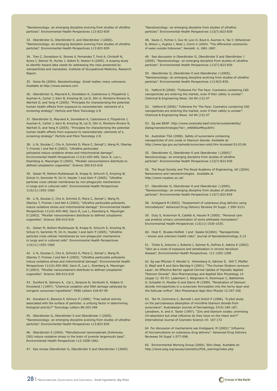"Nanotoxicology: an emerging discipline evolving from studies of ultrafine particles". Environmental Health Perspectives 113:823-839

33. Oberdörster G, Oberdörster E, and Oberdörster J (2005). "Nanotoxicology: an emerging discipline evolving from studies of ultrafine particles". Environmental Health Perspectives 113:823-839

34. Tran C, Donaldson K, Stones V, Fernandez T, Ford A, Christofi N, Ayres J, Steiner M, Hurley J, Aitken R, Seaton A (2005). A scoping study to identify hazard data needs for addressing the risks presented by nanoparticles and nanotubes. Institute of Occupational Medicine, Research Report.

35. Swiss Re (2004). Nanotechnology: Small matter, many unknowns. Available at http://www.swissre.com

36. Oberdörster G, Maynard A, Donaldson K, Castranova V, Fitzpatrick J, Ausman K, Carter J, Karn B, Kreyling W, Lai D, Olin S, Monteiro-Riviere N, Warheit D, and Yang H (2005). "Principles for characterising the potential human health effects from exposure to nanomaterials: elements of a screening strategy". Particle and Fibre Toxicology 2:8

37. Oberdörster G, Maynard A, Donaldson K, Castranova V, Fitzpatrick J, Ausman K, Carter J, Karn B, Kreyling W, Lai D, Olin S, Monteiro-Riviere N, Warheit D, and Yang H (2005). "Principles for characterising the potential human health effects from exposure to nanomaterials: elements of a screening strategy". Particle and Fibre Toxicology 2:8

38. Li N, Sioutas C, Cho A, Schmitz D, Misra C, Sempf J, Wang M, Oberley T, Froines J and Nel A (2003). "Ultrafine particulate pollutants induce oxidative stress and mitochondrial damage". Environmental Health Perspectives 111(4):455-460; Savic R, Luo L, Eisenberg A, Maysinger D (2003). "Micellar nanocontainers distribute to defined cytoplasmic organelles". Science 300:615-618

39. Geiser M, Rothen-Rutlshauser B, Knapp N, Schurch S, Kreyling W, Schulz H, Semmler M, Im H, Heyder J and Gehr P (2005). "Ultrafine particles cross cellular membranes by non-phagocytic mechanisms in lungs and in cultured cells". Environmental Health Perspectives 113(11):1555-1560

40. Li N, Sioutas C, Cho A, Schmitz D, Misra C, Sempf J, Wang M, Oberley T, Froines J and Nel A (2003). "Ultrafine particulate pollutants induce oxidative stress and mitochondrial damage". Environmental Health Perspectives 111(4):455-460; Savic R, Luo L, Eisenberg A, Maysinger D (2003). "Micellar nanocontainers distribute to defined cytoplasmic organelles". Science 300:615-618

41. Geiser M, Rothen-Rutlshauser B, Knapp N, Schurch S, Kreyling W, Schulz H, Semmler M, Im H, Heyder J and Gehr P (2005). "Ultrafine particles cross cellular membranes by non-phagocytic mechanisms in lungs and in cultured cells". Environmental Health Perspectives 113(11):1555-1560

42. Li N, Sioutas C, Cho A, Schmitz D, Misra C, Sempf J, Wang M, Oberley T, Froines J and Nel A (2003). "Ultrafine particulate pollutants induce oxidative stress and mitochondrial damage". Environmental Health Perspectives 111(4):455-460; Savic R, Luo L, Eisenberg A, Maysinger D (2003). "Micellar nanocontainers distribute to defined cytoplasmic organelles". Science 300:615-618

43. Dunford R, Salinaro A, Cai L, Serpone N, Horikoshi S, Hidaka H, Knowland J (1997). "Chemical oxidation and DNA damage catalysed by inorganic sunscreen ingredients". FEBS Letters 418:87-90

44. Donalson K, Beswick P, Gilmour P (1996). "Free radical activity associated with the surface of particles: a unifying factor in determining biological activity?" Toxicology Letters 88:293-298

45. Oberdörster G, Oberdörster E and Oberdörster J (2005). "Nanotoxicology: an emerging discipline evolving from studies of ultrafine particles". Environmental Health Perspectives 113:823-839

46. Oberdörster E (2004). "Manufactured nanomaterials (fullerenes, C60) induce oxidative stress in the brain of juvenile largemouth bass". Environmental Health Perspectives 112:1058-1062.

47. See review Oberdörster G, Oberdörster E and Oberdörster J (2005).

"Nanotoxicology: an emerging discipline from studies of ultrafine particles". Environmental Health Perspectives 113(7):823-839

48. Sayes C, Fortner J, Guo W, Lyon D, Boyd A, Ausman K, Tao Y, Sitharaman B, Wilson L, Hughes J, West J, Colvin V (2004). "The differential cytotoxicity of water-soluble fullerenes". Nanolett. 4, 1881-1887.

49. See discussion in Oberdörster G, Oberdörster E and Oberdörster J (2005). "Nanotoxicology: an emerging discipline from studies of ultrafine particles". Environmental Health Perspectives 113(7):823-839

50. Oberdörster G, Oberdörster E and Oberdörster J (2005). "Nanotoxicology: an emerging discipline evolving from studies of ultrafine particles". Environmental Health Perspectives 113:823-839.

51. Halford B (2006). "Fullerene For The Face: Cosmetics containing C60 nanoparticles are entering the market, even if their safety is unclear". Chemical & Engineering News. Vol 84 (13):47

52. Halford B (2006)." Fullerene For The Face: Cosmetics containing C60 nanoparticles are entering the market, even if their safety is unclear". Chemical & Engineering News. Vol 84 (13):47

53. Eg see BASF: http://www.corporate.basf.com/en/sustainability/ dialog/nanotechnologie/?id=\_reNA8GwMbcp3ll#1

54. Australian TGA (2006). Safety of sunscreens containing nanoparticles of zinc oxide or titanium dioxide. Available at: http://www.tga.gov.au/npmeds/sunscreen-zotd.htm Accessed 03.03.06

55. Oberdörster G, Oberdörster E and Oberdörster J (2005)." Nanotoxicology: an emerging discipline from studies of ultrafine particles". Environmental Health Perspectives 113(7):823-839

56. The Royal Society and The Royal Academy of Engineering, UK (2004). Nanoscience and nanotechnologies. Available at http://www.royalsoc.ac.uk/

57. Oberdörster G, Oberdörster E and Oberdörster J (2005). "Nanotoxicology: an emerging discipline from studies of ultrafine particles". Environmental Health Perspectives 113(7):823-839

58. Kreilgaard M (2002). "Assessment of cutaneous drug delivery using microdialysis". Advanced Drug Delivery Reviews 54 Suppl. 1 S99–S121

59. Duty S, Ackerman R, Calafat A, Hauser R (2005). "Personal care use predicts urinary concentration of some phthalate monoesters". Environmental Health Perspectives 113(11):1530-1535.

60. Hoet P, Bruske-Holfeld I and Salata O(2004). "Nanoparticles – known and unknown health risks". Journal of Nanobiotechnology 2:12

61. Tinkle S, Antonini J, Roberts J, Salmen R, DePree K, Adkins E (2003). "Skin as a route of exposure and sensitisation in chronic beryllium disease", Environmental Health Perspectives. 111:1202-1208

62. Eg see Pflücker P, Wendel V, Hohenberg H, Gärtner E, Will T, Pfeiffer S, Wepf and R and Gers-Barslag H (2001). "The Human Stratum corneum Layer: An Effective Barrier against Dermal Uptake of Topically Applied Titanium Dioxide". Skin Pharmacology and Applied Skin Physiology 14 (Suppl 1): 92-97; Lademann J, Weigmann H, Rickmeyer C, Bathelmes H, Schaefer H, Mueller G and Sterry W (1999). "Penetration of titanium dioxide microparticles in a sunscreen formulation into the horny layer and the follicular orifice". Skin Pharamacol Appl Skin Physiol 12:247-256

63. Tan M, Commens C, Burnett L and Snitch P (1996). "A pilot study on the percutaneous absorption of microfine titanium dioxide from sunscreens". Australasian Journal of Dermatology 37(4):185-187; Lansdown, A. and A. Taylor (1997). "Zinc and titanium oxides: promising UV-absorbers but what influence do they have on the intact skin?" International Journal of Cosmetic Science 19: 167-172

64 For discussion of mechanisms see Kreilgaard, M (2002)." Influence of microemulsions on cutaneous drug delivery". Advanced Drug Delivery Reviewes 54 Suppl 1:S77-S98.

65. Environmental Working Group (2004). Skin Deep. Available at: http://www.ewg.org/issues/cosmetics/FDA\_warning/index.php

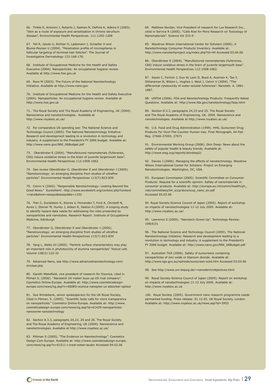66. Tinkle S, Antonini J, Roberts J, Salmen R, DePree K, Adkins E (2003). "Skin as a route of exposure and sensitisation in chronic beryllium disease", Environmental Health Perspectives. 111:1202-1208

67. Toll R, Jacobi U, Richter H, Lademann J, Schaefer H and Blume-Peytavi U (2004). "Penetration profile of microspheres in follicular targeting of terminal hair follicles". The Journal of Investigative Dermatology 123:168-176.

68. Institute of Occupational Medicine for the Health and Safety Executive (2004). Nanoparticles: An occupational hygiene review. Available at http://www.hse.gov.uk

69. Roco M (2003). The Future of the National Nanotechnology Initiative. Available at http://www.nano.gov

70. Institute of Occupational Medicine for the Health and Safety Executive (2004). Nanoparticles: An occupational hygiene review. Available at http://www.hse.gov.uk

71.. The Royal Society and The Royal Academy of Engineering, UK (2004). Nanoscience and nanotechnologies. Available at http://www.royalsoc.ac.uk/

72. For comparative US spending see: The National Science and Technology Council (2005). The National Nanotechnology Initiative: Research and development leading to a revolution in technology and industry. A supplement to the President's FY 2006 budget. Available at: http://www.nano.gov/NNI\_06Budget.pdf

73. Oberdörster E (2004). "Manufactured nanomaterials (fullerenes, Environmental Health Perspectives 112:1058-1062. C60) induce oxidative stress in the brain of juvenile largemouth bass".

74. See review Oberdörster G, Oberdörster E and Oberdörster J (2005). "Nanotoxicology: an emerging discipline from studies of ultrafine particles". Environmental Health Perspectives 113(7):823-839 A, Donaldson K, Castranova V, Fitzpatrick J, Ausman K, Carter J, Karn

75. Colvin V (2002). "Responsible Nanotechnology: Looking Beyond the Good News." EurekAlert!. http://www.eurekalert.org/context.php?context =nano&show=essays&essaydate=1102

76. Tran C, Donaldson K, Stones V, Fernandez T, Ford A, Christofi N, Ayres J, Steiner M, Hurley J, Aitken R, Seaton A (2005). A scoping study to denth, mezula data neces for dath essing the nsits presented b,<br>nanoparticles and nanotubes. Research Report. Institute of Occupational Wedicine, Edinburgh (2005). "Principles for characterising the potential of characterising the potential of th to identify hazard data needs for addressing the risks presented by

77. Oberdörster G, Oberdörster E and Oberdörster J (2005). "Nanotoxicology: an emerging discipline from studies of ultrafine particles". Environmental Health Perspectives 113(7):823-839 mental Health Perspectives 112:1058-1062.

78. Yang L, Watts DJ (2005). "Particle surface characteristics may play an important role in phytotoxicity of alumina nanoparticles" Toxicol Lett.  $\blacksquare$ Volume 158(2):122-32. Nanolett.  $\blacksquare$ 

79. Advanced Nano, see http://www.advancednanotechnology.com/ zinclear.php Perspectives 113(7):823-839

80. Gareth Wakefield, vice president of research for Oxonica, cited in Pitman S. (2006). "Nanotech UV maker buys up US rival company". Cosmetics Online-Europe. Available at: http://www.cosmeticsdesigneurope.com/news/ng.asp?n=66085-oconica-nanoplex-uv-absorber-optisol

81. Sue Windebank, senior spokesperson for the UK Royal Society, Cited in Pitman, S. (2005). "Scientific body calls for more transparency on nanoparticles." Cosmetics Online-Europe. Available at: http://www. nanosome-nanotechnology and Misra C, Sempin J, Wang M, Oberley D, Wang M, Oberley M, Oberley D, Oberley D, Mis T, From  $\Gamma$  and Nelson  $\Gamma$  and  $\Gamma$  and  $\Gamma$  and  $\Gamma$  and  $\Gamma$  are pollutants induced oxidacosmeticsdesign-europe.com/news/ng.asp?id=61429-nanoparticles-

82. Section 8.3.3, paragraphs 24,23, 25 and 26. The Royal Society and The Royal Academy of Engineering, UK (2004). Nanoscience and nanotechnologies. Available at http://www.royalsoc.ac.uk/

83. Pittman S (2005). "The Evidence on Nanotechnology". Cosmetics Design.Com Europe. Available at: http://www.cosmeticsdesign-europe. in cultured cells. Environmental Health Perspectives 113(11):1555-1560 com/news/ng.asp?n=61511-l-oreal-estee-lauder Accessed 04.03.06

84. Matthew Nordan, Vice President of research for Lux Research Inc., cited in Service R (2005). "Calls Rise for More Research on Toxicology of Nanomaterials". Science Vol 310:9

85. Woodrow Wilson International Center for Scholars (2006). A Nanotechnology Consumer Products Inventory. Available at: http://www.nanotechproject.org/index.php?id=44 Accessed 03.04.06

86. Oberdörster E (2004). "Manufactured nanomaterials (fullerenes, C60) induce oxidative stress in the brain of juvenile largemouth bass". Environmental Health Perspectives 112:1058-1062.

87. Sayes C, Fortner J, Guo W, Lyon D, Boyd A, Ausman K, Tao Y, Sitharaman B, Wilson L, Hughes J, West J, Colvin V (2004). "The differential cytotoxicity of water-soluble fullerenes". Nanolett. 4, 1881- 1887.

88. USFDA (2006). FDA and Nanotechnology Products: Frequently Asked Questions. Available at: http://www.fda.gov/nanotechnology/faqs.html

89. Section 8.3.3, paragraphs 24,23 and 25. The Royal Society and The Royal Academy of Engineering, UK. 2004. Nanoscience and nanotechnologies. Available at http://www.royalsoc.ac.uk/

90. U.S. Food and Drug Administration (1999). HHS, Sunscreen Drug Products For Over-The-Counter Human Use; Final Monograph, 64 Fed. Reg. 27666-27693, 27671

safety of popular health & beauty brands. Available at: http://www.ewg.org/reports/skindeep2/ 91. Environmental Working Group (2006). Skin Deep: News about the

92. Davies J (2006). Managing the effects of nanotechnology. Woodrow Wilson International Center for Scholars: Project on Emerging Ayres J, Steiner M, Hurley J, Aitken R, Seaton A (2005). A scoping study to identify hazard data needs for addressing the risks presented by Nanotechnologies. Washington, DC, USA.

93. European Commission (2005). Scientific Committee on Consumer 14. Li N, Sioutas C, Cho A, Schmitz D, Misra C, Sempf J, Wang M, Oberley T, Froines J and Nel A (2003). Ultrafine particulate pollutants induce oxida-consumer products. Available at: http://europa.eu.int/comm/health/ph\_ risk/committees/04\_sccp/docs/sccp\_nano\_en.pdf 111(4):455-460; Savic R, Luo L, Eisenberg A, Maysinger D (2003). Micel-Accessed 05.03.06 Products: Request for a scientific opinion: Safety of nanomaterials in

94 Royal Society-Science Council of Japan (2005). Report of workshop on impacts of nanotechnologies 11-12 July 2005. Available at: http://www.royalsoc.ac.uk/<br>http://www.royalsoc.ac.uk/

95. Lawrence S (2005). "Nanotech Grows Up". Technology Review:  $16. (9.11)$ 108(6)31

96. The National Science and Technology Council (2005). The National revolution in technology and industry. A supplement to the President's FY 2006 budget. Available at: http://www.nano.gov/NNI\_06Budget.pdf Nanotechnology Initiative: Research and development leading to a

18. European Environmental issue report transferom environmental issue reported to the precedure or the precautionary principle in the precedure or titanium dioxide. Available at: http://www.tga.gov.au/npmeds/sunscreen-zotd.htm Accessed 03.03.06 97. Australian TGA (2006). Safety of sunscreens containing

98. See http://www.uni-leipzig.de/~nanoderm/objectives.html

99. Royal Society-Science Council of Japan (2005). Report on workshop on impacts of nanotechnologies 11-12 July 2005. Available at: Oberdörster G, Oberdörster E and Oberdörster J (2005). Nanotoxicology: an emerging discipline from studies of ultrafine particles. Environmental http://www.royalsoc.ac.uk

100. Royal Society (2005). Government nano research programme needs earmarked funding. Press release: 01.12.05. UK Royal Society, London. Available at: http://www.royalsoc.ac.uk/news.asp?id=3953